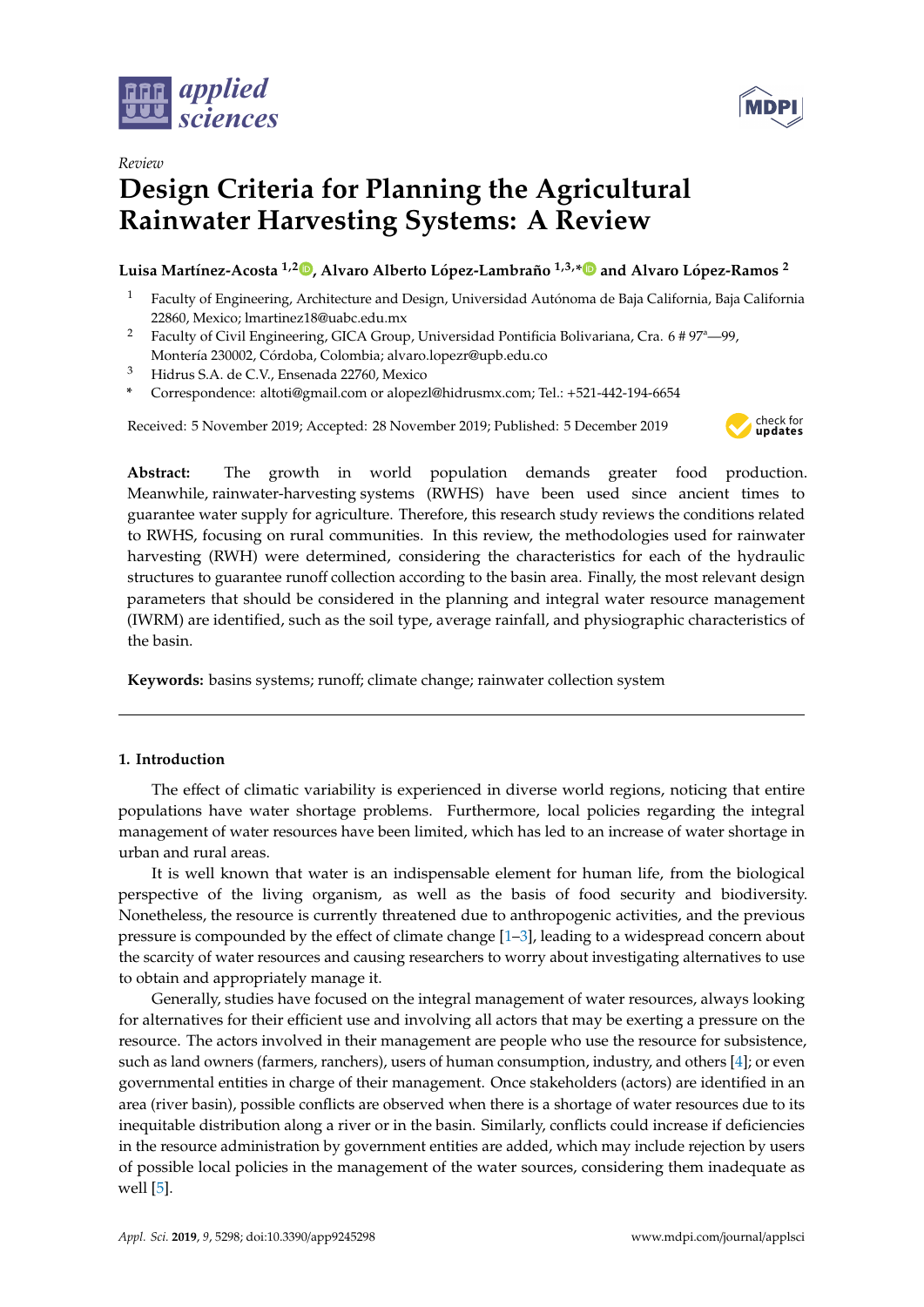

*Review*



# **Design Criteria for Planning the Agricultural Rainwater Harvesting Systems: A Review**

# **Luisa Martínez-Acosta 1,2 [,](https://orcid.org/0000-0003-3373-6842) Alvaro Alberto López-Lambraño 1,3,[\\*](https://orcid.org/0000-0002-7899-7985) and Alvaro López-Ramos <sup>2</sup>**

- <sup>1</sup> Faculty of Engineering, Architecture and Design, Universidad Autónoma de Baja California, Baja California 22860, Mexico; lmartinez18@uabc.edu.mx
- <sup>2</sup> Faculty of Civil Engineering, GICA Group, Universidad Pontificia Bolivariana, Cra. 6 # 97<sup>a</sup>-99,
- Montería 230002, Córdoba, Colombia; alvaro.lopezr@upb.edu.co
- <sup>3</sup> Hidrus S.A. de C.V., Ensenada 22760, Mexico
- **\*** Correspondence: altoti@gmail.com or alopezl@hidrusmx.com; Tel.: +521-442-194-6654

Received: 5 November 2019; Accepted: 28 November 2019; Published: 5 December 2019



**Abstract:** The growth in world population demands greater food production. Meanwhile, rainwater-harvesting systems (RWHS) have been used since ancient times to guarantee water supply for agriculture. Therefore, this research study reviews the conditions related to RWHS, focusing on rural communities. In this review, the methodologies used for rainwater harvesting (RWH) were determined, considering the characteristics for each of the hydraulic structures to guarantee runoff collection according to the basin area. Finally, the most relevant design parameters that should be considered in the planning and integral water resource management (IWRM) are identified, such as the soil type, average rainfall, and physiographic characteristics of the basin.

**Keywords:** basins systems; runoff; climate change; rainwater collection system

## **1. Introduction**

The effect of climatic variability is experienced in diverse world regions, noticing that entire populations have water shortage problems. Furthermore, local policies regarding the integral management of water resources have been limited, which has led to an increase of water shortage in urban and rural areas.

It is well known that water is an indispensable element for human life, from the biological perspective of the living organism, as well as the basis of food security and biodiversity. Nonetheless, the resource is currently threatened due to anthropogenic activities, and the previous pressure is compounded by the effect of climate change [\[1](#page-11-0)[–3\]](#page-11-1), leading to a widespread concern about the scarcity of water resources and causing researchers to worry about investigating alternatives to use to obtain and appropriately manage it.

Generally, studies have focused on the integral management of water resources, always looking for alternatives for their efficient use and involving all actors that may be exerting a pressure on the resource. The actors involved in their management are people who use the resource for subsistence, such as land owners (farmers, ranchers), users of human consumption, industry, and others [\[4\]](#page-11-2); or even governmental entities in charge of their management. Once stakeholders (actors) are identified in an area (river basin), possible conflicts are observed when there is a shortage of water resources due to its inequitable distribution along a river or in the basin. Similarly, conflicts could increase if deficiencies in the resource administration by government entities are added, which may include rejection by users of possible local policies in the management of the water sources, considering them inadequate as well [\[5\]](#page-11-3).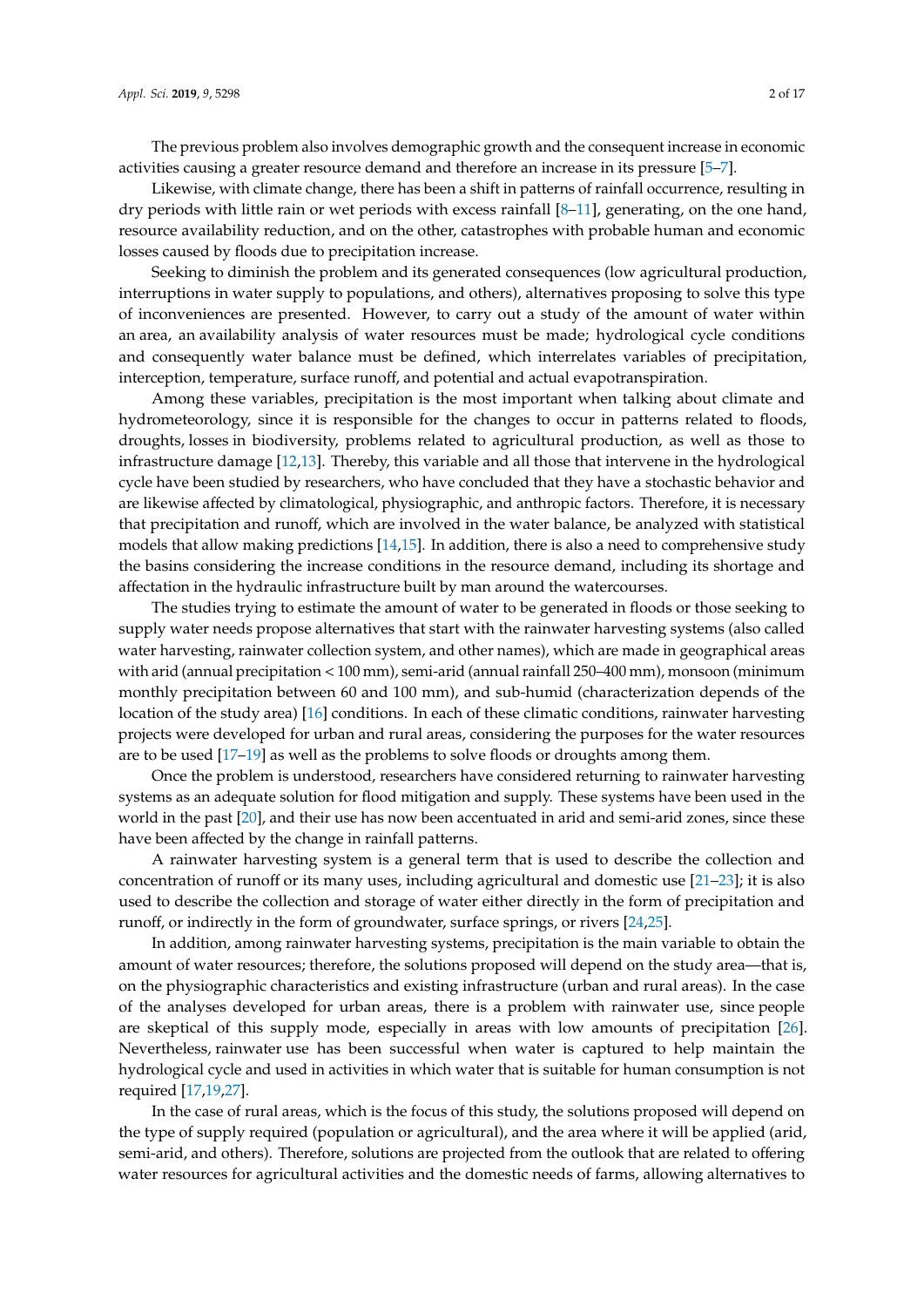The previous problem also involves demographic growth and the consequent increase in economic activities causing a greater resource demand and therefore an increase in its pressure [\[5](#page-11-3)[–7\]](#page-11-4).

Likewise, with climate change, there has been a shift in patterns of rainfall occurrence, resulting in dry periods with little rain or wet periods with excess rainfall [\[8](#page-11-5)[–11\]](#page-11-6), generating, on the one hand, resource availability reduction, and on the other, catastrophes with probable human and economic losses caused by floods due to precipitation increase.

Seeking to diminish the problem and its generated consequences (low agricultural production, interruptions in water supply to populations, and others), alternatives proposing to solve this type of inconveniences are presented. However, to carry out a study of the amount of water within an area, an availability analysis of water resources must be made; hydrological cycle conditions and consequently water balance must be defined, which interrelates variables of precipitation, interception, temperature, surface runoff, and potential and actual evapotranspiration.

Among these variables, precipitation is the most important when talking about climate and hydrometeorology, since it is responsible for the changes to occur in patterns related to floods, droughts, losses in biodiversity, problems related to agricultural production, as well as those to infrastructure damage [\[12](#page-11-7)[,13\]](#page-11-8). Thereby, this variable and all those that intervene in the hydrological cycle have been studied by researchers, who have concluded that they have a stochastic behavior and are likewise affected by climatological, physiographic, and anthropic factors. Therefore, it is necessary that precipitation and runoff, which are involved in the water balance, be analyzed with statistical models that allow making predictions [\[14,](#page-11-9)[15\]](#page-11-10). In addition, there is also a need to comprehensive study the basins considering the increase conditions in the resource demand, including its shortage and affectation in the hydraulic infrastructure built by man around the watercourses.

The studies trying to estimate the amount of water to be generated in floods or those seeking to supply water needs propose alternatives that start with the rainwater harvesting systems (also called water harvesting, rainwater collection system, and other names), which are made in geographical areas with arid (annual precipitation < 100 mm), semi-arid (annual rainfall 250–400 mm), monsoon (minimum monthly precipitation between 60 and 100 mm), and sub-humid (characterization depends of the location of the study area) [\[16\]](#page-12-0) conditions. In each of these climatic conditions, rainwater harvesting projects were developed for urban and rural areas, considering the purposes for the water resources are to be used [\[17](#page-12-1)[–19\]](#page-12-2) as well as the problems to solve floods or droughts among them.

Once the problem is understood, researchers have considered returning to rainwater harvesting systems as an adequate solution for flood mitigation and supply. These systems have been used in the world in the past [\[20\]](#page-12-3), and their use has now been accentuated in arid and semi-arid zones, since these have been affected by the change in rainfall patterns.

A rainwater harvesting system is a general term that is used to describe the collection and concentration of runoff or its many uses, including agricultural and domestic use [\[21](#page-12-4)[–23\]](#page-12-5); it is also used to describe the collection and storage of water either directly in the form of precipitation and runoff, or indirectly in the form of groundwater, surface springs, or rivers [\[24](#page-12-6)[,25\]](#page-12-7).

In addition, among rainwater harvesting systems, precipitation is the main variable to obtain the amount of water resources; therefore, the solutions proposed will depend on the study area—that is, on the physiographic characteristics and existing infrastructure (urban and rural areas). In the case of the analyses developed for urban areas, there is a problem with rainwater use, since people are skeptical of this supply mode, especially in areas with low amounts of precipitation [\[26\]](#page-12-8). Nevertheless, rainwater use has been successful when water is captured to help maintain the hydrological cycle and used in activities in which water that is suitable for human consumption is not required [\[17](#page-12-1)[,19](#page-12-2)[,27\]](#page-12-9).

In the case of rural areas, which is the focus of this study, the solutions proposed will depend on the type of supply required (population or agricultural), and the area where it will be applied (arid, semi-arid, and others). Therefore, solutions are projected from the outlook that are related to offering water resources for agricultural activities and the domestic needs of farms, allowing alternatives to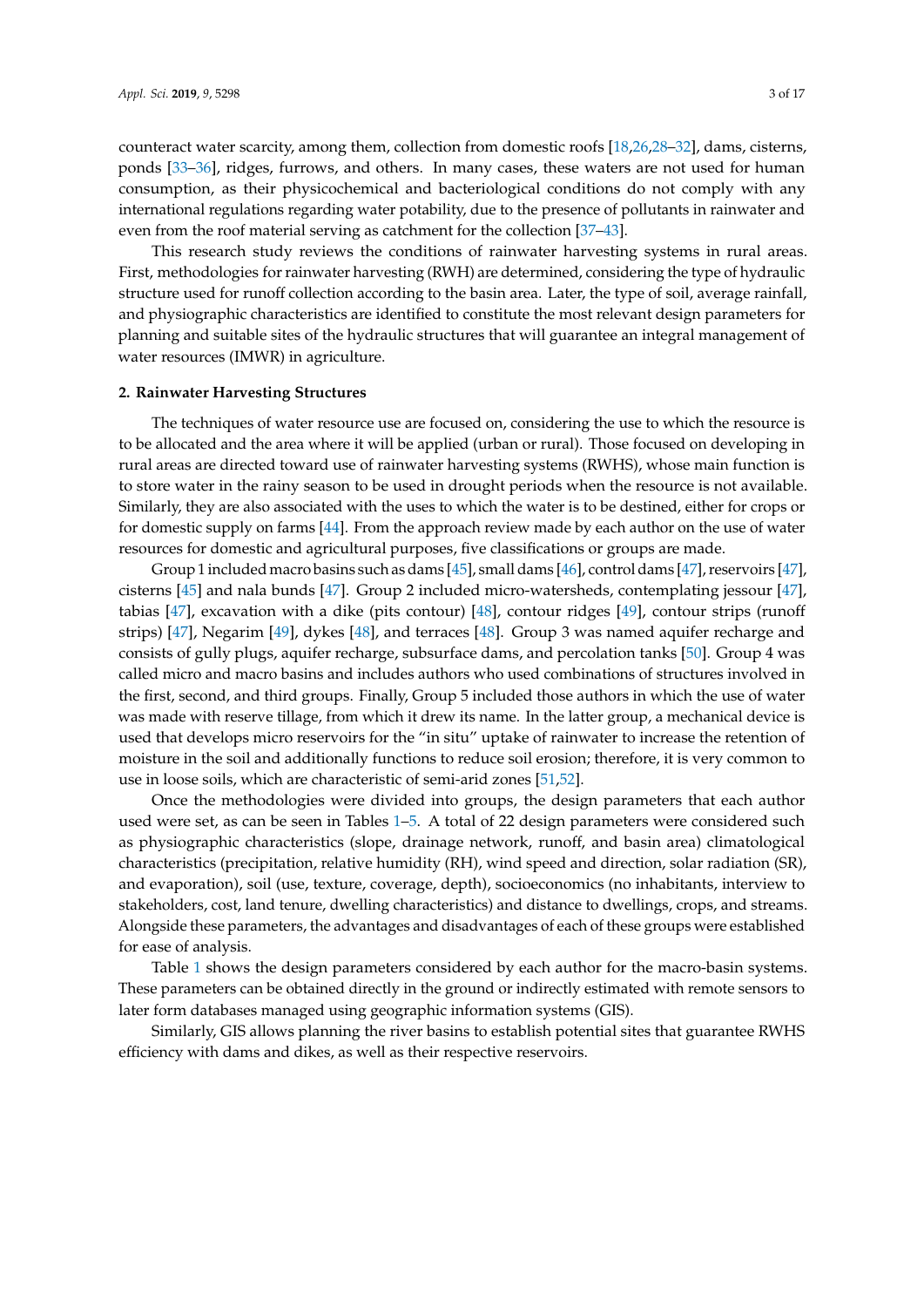counteract water scarcity, among them, collection from domestic roofs [\[18](#page-12-10)[,26](#page-12-8)[,28](#page-12-11)[–32\]](#page-12-12), dams, cisterns, ponds [\[33](#page-12-13)[–36\]](#page-12-14), ridges, furrows, and others. In many cases, these waters are not used for human consumption, as their physicochemical and bacteriological conditions do not comply with any international regulations regarding water potability, due to the presence of pollutants in rainwater and even from the roof material serving as catchment for the collection [\[37](#page-13-0)[–43\]](#page-13-1).

This research study reviews the conditions of rainwater harvesting systems in rural areas. First, methodologies forrainwater harvesting (RWH) are determined, considering the type of hydraulic structure used for runoff collection according to the basin area. Later, the type of soil, average rainfall, and physiographic characteristics are identified to constitute the most relevant design parameters for planning and suitable sites of the hydraulic structures that will guarantee an integral management of water resources (IMWR) in agriculture.

#### **2. Rainwater Harvesting Structures**

The techniques of water resource use are focused on, considering the use to which the resource is to be allocated and the area where it will be applied (urban or rural). Those focused on developing in rural areas are directed toward use of rainwater harvesting systems (RWHS), whose main function is to store water in the rainy season to be used in drought periods when the resource is not available. Similarly, they are also associated with the uses to which the water is to be destined, either for crops or for domestic supply on farms [\[44\]](#page-13-2). From the approach review made by each author on the use of water resources for domestic and agricultural purposes, five classifications or groups are made.

Group 1 included macro basins such as dams [\[45\]](#page-13-3), small dams [\[46\]](#page-13-4), control dams [\[47\]](#page-13-5), reservoirs [\[47\]](#page-13-5), cisterns [\[45\]](#page-13-3) and nala bunds [\[47\]](#page-13-5). Group 2 included micro-watersheds, contemplating jessour [\[47\]](#page-13-5), tabias [\[47\]](#page-13-5), excavation with a dike (pits contour) [\[48\]](#page-13-6), contour ridges [\[49\]](#page-13-7), contour strips (runoff strips) [\[47\]](#page-13-5), Negarim [\[49\]](#page-13-7), dykes [\[48\]](#page-13-6), and terraces [\[48\]](#page-13-6). Group 3 was named aquifer recharge and consists of gully plugs, aquifer recharge, subsurface dams, and percolation tanks [\[50\]](#page-13-8). Group 4 was called micro and macro basins and includes authors who used combinations of structures involved in the first, second, and third groups. Finally, Group 5 included those authors in which the use of water was made with reserve tillage, from which it drew its name. In the latter group, a mechanical device is used that develops micro reservoirs for the "in situ" uptake of rainwater to increase the retention of moisture in the soil and additionally functions to reduce soil erosion; therefore, it is very common to use in loose soils, which are characteristic of semi-arid zones [\[51,](#page-13-9)[52\]](#page-13-10).

Once the methodologies were divided into groups, the design parameters that each author used were set, as can be seen in Tables [1–](#page-3-0)[5.](#page-6-0) A total of 22 design parameters were considered such as physiographic characteristics (slope, drainage network, runoff, and basin area) climatological characteristics (precipitation, relative humidity (RH), wind speed and direction, solar radiation (SR), and evaporation), soil (use, texture, coverage, depth), socioeconomics (no inhabitants, interview to stakeholders, cost, land tenure, dwelling characteristics) and distance to dwellings, crops, and streams. Alongside these parameters, the advantages and disadvantages of each of these groups were established for ease of analysis.

Table [1](#page-3-0) shows the design parameters considered by each author for the macro-basin systems. These parameters can be obtained directly in the ground or indirectly estimated with remote sensors to later form databases managed using geographic information systems (GIS).

Similarly, GIS allows planning the river basins to establish potential sites that guarantee RWHS efficiency with dams and dikes, as well as their respective reservoirs.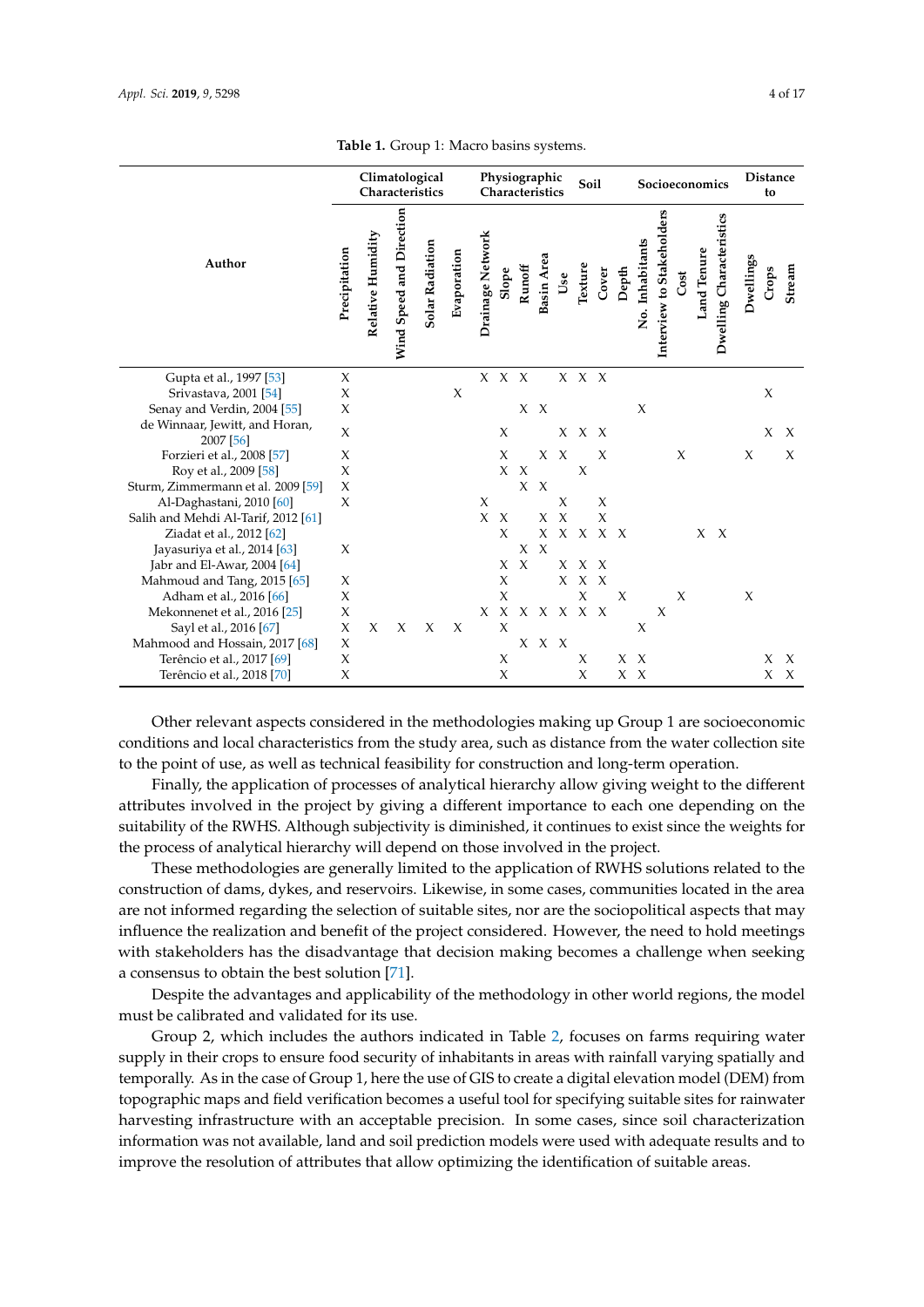<span id="page-3-0"></span>

|                                             |                                   |                   |                          | л.              |             |                  |                                  |                     |                   |                     |              |        |       |                 |                           |      |             |                          |                       |       |                     |
|---------------------------------------------|-----------------------------------|-------------------|--------------------------|-----------------|-------------|------------------|----------------------------------|---------------------|-------------------|---------------------|--------------|--------|-------|-----------------|---------------------------|------|-------------|--------------------------|-----------------------|-------|---------------------|
|                                             | Climatological<br>Characteristics |                   |                          |                 |             |                  | Physiographic<br>Characteristics |                     |                   |                     |              | Soil   |       | Socioeconomics  |                           |      |             |                          | <b>Distance</b><br>to |       |                     |
| Author                                      | Precipitation                     | Relative Humidity | Wind Speed and Direction | Solar Radiation | Evaporation | Drainage Network | Slope                            | Runoff              | <b>Basin</b> Area | Use                 | Texture      | Cover  | Depth | No. Inhabitants | Interview to Stakeholders | Cost | Land Tenure | Dwelling Characteristics | Dwellings             | Crops | Stream              |
| Gupta et al., 1997 [53]                     | X                                 |                   |                          |                 |             |                  | X X X                            |                     |                   |                     | X X X        |        |       |                 |                           |      |             |                          |                       |       |                     |
| Srivastava, 2001 [54]                       | X                                 |                   |                          |                 | X           |                  |                                  |                     |                   |                     |              |        |       |                 |                           |      |             |                          |                       | X     |                     |
| Senay and Verdin, 2004 [55]                 | X                                 |                   |                          |                 |             |                  |                                  |                     | X X               |                     |              |        |       | X               |                           |      |             |                          |                       |       |                     |
| de Winnaar, Jewitt, and Horan,<br>2007 [56] | $\chi$                            |                   |                          |                 |             |                  | X                                |                     |                   | $X_{-}$             | $X \times X$ |        |       |                 |                           |      |             |                          |                       | X     | $\boldsymbol{\chi}$ |
| Forzieri et al., 2008 [57]                  | X                                 |                   |                          |                 |             |                  | X                                |                     | X                 | $\boldsymbol{X}$    |              | X      |       |                 |                           | X    |             |                          | $\chi$                |       | X                   |
| Roy et al., 2009 [58]                       | X                                 |                   |                          |                 |             |                  | X                                | $\boldsymbol{\chi}$ |                   |                     | $\chi$       |        |       |                 |                           |      |             |                          |                       |       |                     |
| Sturm, Zimmermann et al. 2009 [59]          | X                                 |                   |                          |                 |             |                  |                                  | X                   | $\chi$            |                     |              |        |       |                 |                           |      |             |                          |                       |       |                     |
| Al-Daghastani, 2010 [60]                    | $\chi$                            |                   |                          |                 |             | X                |                                  |                     |                   | X                   |              | X      |       |                 |                           |      |             |                          |                       |       |                     |
| Salih and Mehdi Al-Tarif, 2012 [61]         |                                   |                   |                          |                 |             | $\chi$           | $\mathbf{x}$                     |                     | X                 | $\boldsymbol{\chi}$ |              | $\chi$ |       |                 |                           |      |             |                          |                       |       |                     |
| Ziadat et al., 2012 [62]                    |                                   |                   |                          |                 |             |                  | $\chi$                           |                     | X                 |                     | X X X X      |        |       |                 |                           |      |             | $X \ X$                  |                       |       |                     |
| Jayasuriya et al., 2014 [63]                | X                                 |                   |                          |                 |             |                  |                                  | X                   | $\chi$            |                     |              |        |       |                 |                           |      |             |                          |                       |       |                     |
| Jabr and El-Awar, 2004 $[64]$               |                                   |                   |                          |                 |             |                  |                                  | X X                 |                   |                     | X X X        |        |       |                 |                           |      |             |                          |                       |       |                     |

**Table 1.** Group 1: Macro basins systems.

Other relevant aspects considered in the methodologies making up Group 1 are socioeconomic conditions and local characteristics from the study area, such as distance from the water collection site to the point of use, as well as technical feasibility for construction and long-term operation.

Terêncio et al., 2017 [\[69\]](#page-14-10) X X X X X X X

Adham et al., 2016 [\[66\]](#page-14-7) X X X X X X

Mahmoud and Tang, 2015 [\[65\]](#page-14-6) X X X X X

Mahmood and Hossain, 2017 [\[68\]](#page-14-9) X X X X<br>Terêncio et al., 2017 [69] X X X X

Terêncio et al., 2018 [\[70\]](#page-14-11)

Mekonnenet et al., 2016 [\[25\]](#page-12-7) X X X X X X X X X Sayl et al., 2016 [\[67\]](#page-14-8)  $X \times X \times X \times X$  X X X X X X X X X X

Finally, the application of processes of analytical hierarchy allow giving weight to the different attributes involved in the project by giving a different importance to each one depending on the suitability of the RWHS. Although subjectivity is diminished, it continues to exist since the weights for the process of analytical hierarchy will depend on those involved in the project.

These methodologies are generally limited to the application of RWHS solutions related to the construction of dams, dykes, and reservoirs. Likewise, in some cases, communities located in the area are not informed regarding the selection of suitable sites, nor are the sociopolitical aspects that may influence the realization and benefit of the project considered. However, the need to hold meetings with stakeholders has the disadvantage that decision making becomes a challenge when seeking a consensus to obtain the best solution [\[71\]](#page-14-12).

Despite the advantages and applicability of the methodology in other world regions, the model must be calibrated and validated for its use.

Group 2, which includes the authors indicated in Table [2,](#page-4-0) focuses on farms requiring water supply in their crops to ensure food security of inhabitants in areas with rainfall varying spatially and temporally. As in the case of Group 1, here the use of GIS to create a digital elevation model (DEM) from topographic maps and field verification becomes a useful tool for specifying suitable sites for rainwater harvesting infrastructure with an acceptable precision. In some cases, since soil characterization information was not available, land and soil prediction models were used with adequate results and to improve the resolution of attributes that allow optimizing the identification of suitable areas.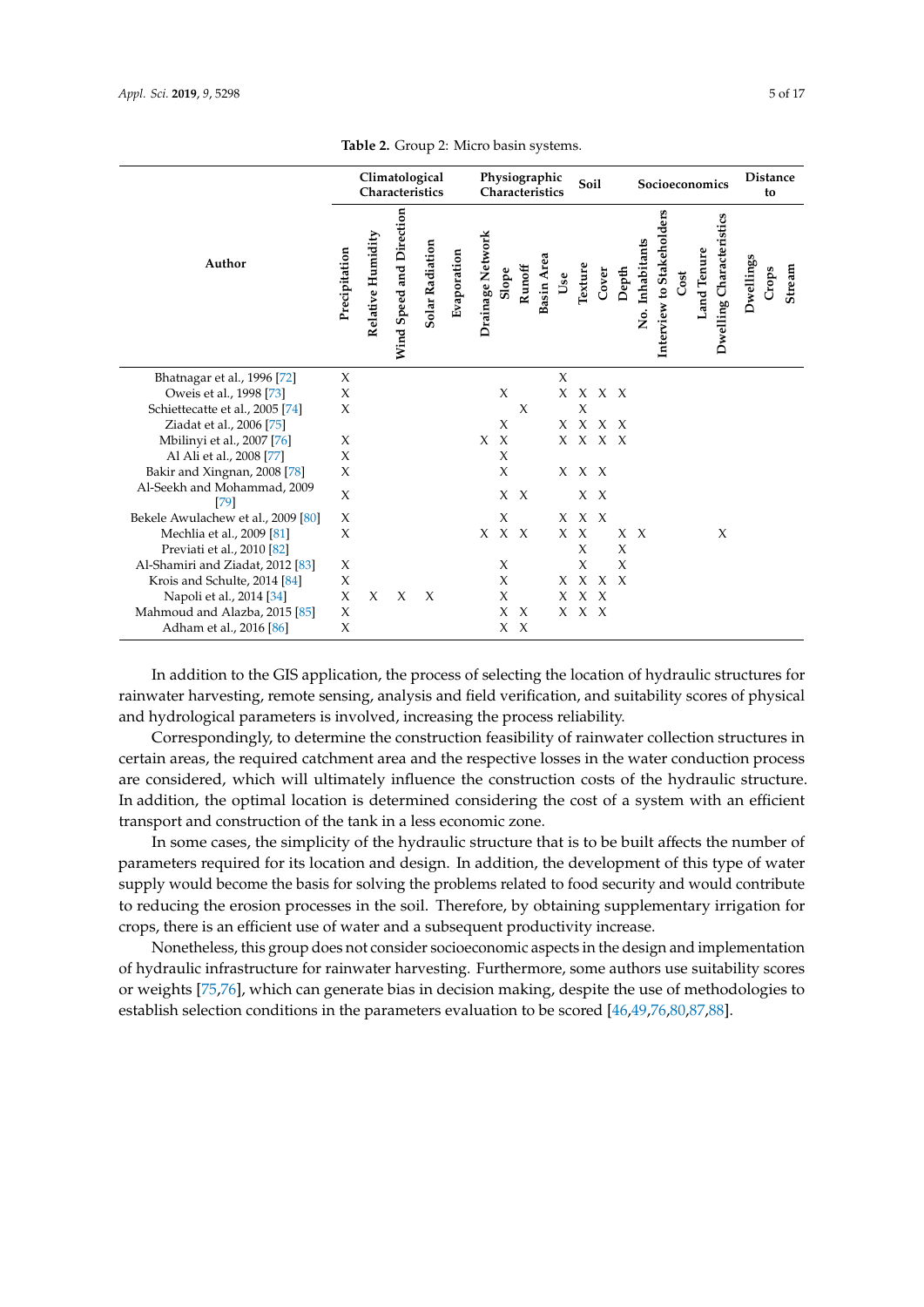<span id="page-4-0"></span>

|                                       |               | Climatological<br>Characteristics | Physiographic<br>Characteristics |                 |             |                  |              | Soil   |                   |         | Socioeconomics        |              |              |                 |                           | <b>Distance</b><br>to |             |                          |           |       |        |
|---------------------------------------|---------------|-----------------------------------|----------------------------------|-----------------|-------------|------------------|--------------|--------|-------------------|---------|-----------------------|--------------|--------------|-----------------|---------------------------|-----------------------|-------------|--------------------------|-----------|-------|--------|
| Author                                | Precipitation | Relative Humidity                 | Wind Speed and Direction         | Solar Radiation | Evaporation | Drainage Network | Slope        | Runoff | <b>Basin Area</b> | Use     | Texture               | Cover        | Depth        | No. Inhabitants | Interview to Stakeholders | Cost                  | Land Tenure | Dwelling Characteristics | Dwellings | Crops | Stream |
| Bhatnagar et al., 1996 [72]           | X             |                                   |                                  |                 |             |                  |              |        |                   | $\chi$  |                       |              |              |                 |                           |                       |             |                          |           |       |        |
| Oweis et al., 1998 [73]               | X             |                                   |                                  |                 |             |                  | X            |        |                   |         | $X \times X \times X$ |              |              |                 |                           |                       |             |                          |           |       |        |
| Schiettecatte et al., 2005 [74]       | X             |                                   |                                  |                 |             |                  |              | X      |                   |         | X                     |              |              |                 |                           |                       |             |                          |           |       |        |
| Ziadat et al., 2006 [75]              |               |                                   |                                  |                 |             |                  | X            |        |                   |         | $X \times X \times X$ |              |              |                 |                           |                       |             |                          |           |       |        |
| Mbilinyi et al., 2007 [76]            | X             |                                   |                                  |                 |             | $X \times X$     |              |        |                   |         | $X \times X \times X$ |              |              |                 |                           |                       |             |                          |           |       |        |
| Al Ali et al., 2008 [77]              | X             |                                   |                                  |                 |             |                  | X            |        |                   |         |                       |              |              |                 |                           |                       |             |                          |           |       |        |
| Bakir and Xingnan, 2008 [78]          | X             |                                   |                                  |                 |             |                  | X            |        |                   |         | X X X                 |              |              |                 |                           |                       |             |                          |           |       |        |
| Al-Seekh and Mohammad, 2009<br>$[79]$ | X             |                                   |                                  |                 |             |                  | $X \times X$ |        |                   |         | $X \times X$          |              |              |                 |                           |                       |             |                          |           |       |        |
| Bekele Awulachew et al., 2009 [80]    | X             |                                   |                                  |                 |             |                  | X            |        |                   |         | $X \times X$          |              |              |                 |                           |                       |             |                          |           |       |        |
| Mechlia et al., 2009 [81]             | X             |                                   |                                  |                 |             |                  | X X X        |        |                   | X       | $\boldsymbol{\chi}$   |              | $X \times X$ |                 |                           |                       |             | X                        |           |       |        |
| Previati et al., 2010 [82]            |               |                                   |                                  |                 |             |                  |              |        |                   |         | X                     |              | X            |                 |                           |                       |             |                          |           |       |        |
| Al-Shamiri and Ziadat, 2012 [83]      | X             |                                   |                                  |                 |             |                  | X            |        |                   |         | X                     |              | $\chi$       |                 |                           |                       |             |                          |           |       |        |
| Krois and Schulte, 2014 [84]          | X             |                                   |                                  |                 |             |                  | X            |        |                   | X       |                       | $X \times X$ |              |                 |                           |                       |             |                          |           |       |        |
| Napoli et al., 2014 [34]              | X             | X                                 | $\chi$                           | $\chi$          |             |                  | $\chi$       |        |                   | $X_{-}$ | $X \times X$          |              |              |                 |                           |                       |             |                          |           |       |        |
| Mahmoud and Alazba, 2015 [85]         | X             |                                   |                                  |                 |             |                  | X            | $\chi$ |                   |         | $X \times X$          |              |              |                 |                           |                       |             |                          |           |       |        |
| Adham et al., 2016 [86]               | X             |                                   |                                  |                 |             |                  | X X          |        |                   |         |                       |              |              |                 |                           |                       |             |                          |           |       |        |

**Table 2.** Group 2: Micro basin systems.

In addition to the GIS application, the process of selecting the location of hydraulic structures for rainwater harvesting, remote sensing, analysis and field verification, and suitability scores of physical and hydrological parameters is involved, increasing the process reliability.

Correspondingly, to determine the construction feasibility of rainwater collection structures in certain areas, the required catchment area and the respective losses in the water conduction process are considered, which will ultimately influence the construction costs of the hydraulic structure. In addition, the optimal location is determined considering the cost of a system with an efficient transport and construction of the tank in a less economic zone.

In some cases, the simplicity of the hydraulic structure that is to be built affects the number of parameters required for its location and design. In addition, the development of this type of water supply would become the basis for solving the problems related to food security and would contribute to reducing the erosion processes in the soil. Therefore, by obtaining supplementary irrigation for crops, there is an efficient use of water and a subsequent productivity increase.

Nonetheless, this group does not consider socioeconomic aspects in the design and implementation of hydraulic infrastructure for rainwater harvesting. Furthermore, some authors use suitability scores or weights [\[75](#page-14-16)[,76\]](#page-14-17), which can generate bias in decision making, despite the use of methodologies to establish selection conditions in the parameters evaluation to be scored [\[46](#page-13-4)[,49](#page-13-7)[,76](#page-14-17)[,80](#page-15-1)[,87](#page-15-8)[,88\]](#page-15-9).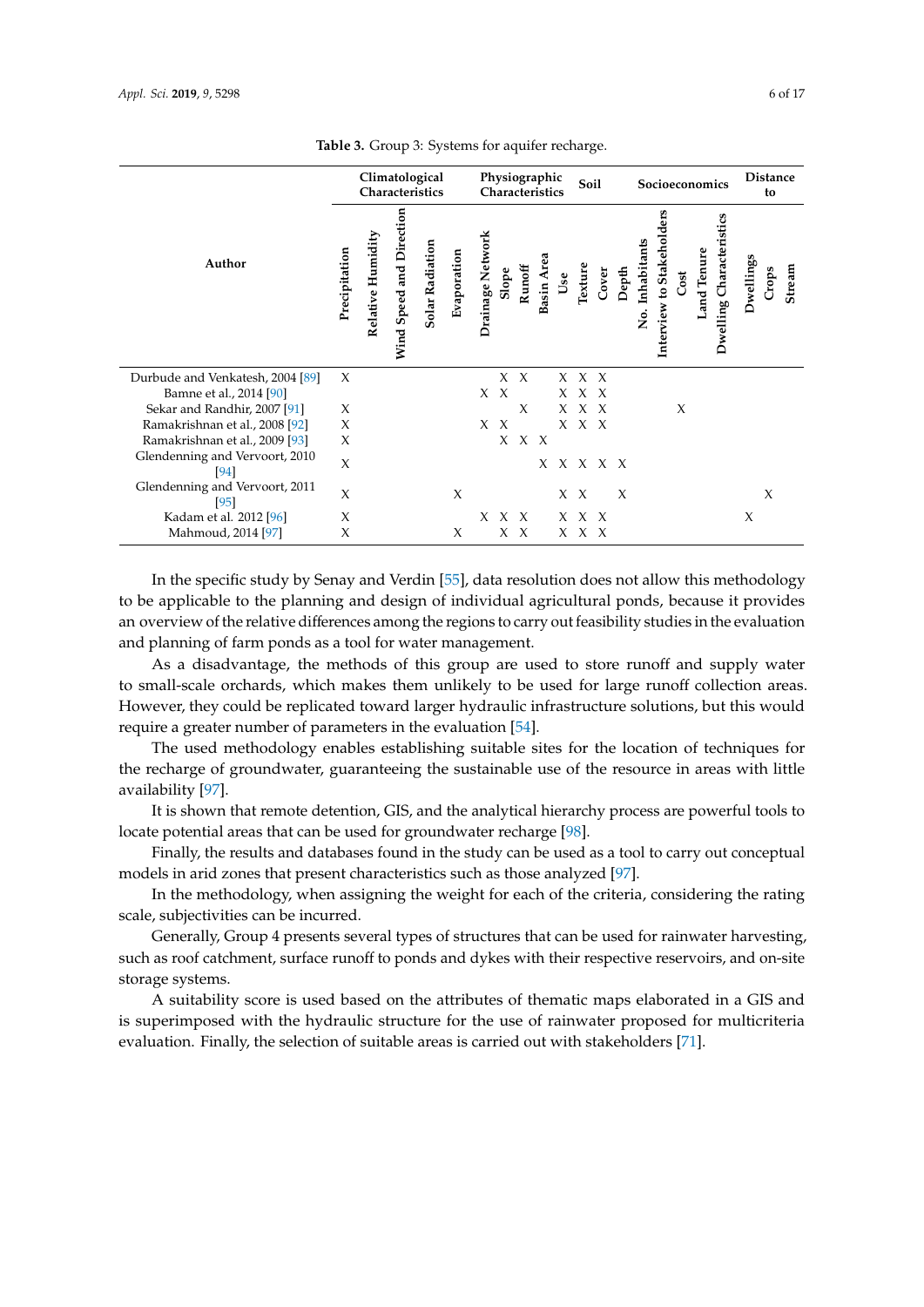|                                        | Climatological<br>Characteristics |                   |                          |                 |             |                  | Physiographic<br>Soil<br>Characteristics |        |            |     |              |       | Socioeconomics |                  |                        |      |             |                          | <b>Distance</b><br>to |       |        |
|----------------------------------------|-----------------------------------|-------------------|--------------------------|-----------------|-------------|------------------|------------------------------------------|--------|------------|-----|--------------|-------|----------------|------------------|------------------------|------|-------------|--------------------------|-----------------------|-------|--------|
| Author                                 | Precipitation                     | Relative Humidity | Wind Speed and Direction | Solar Radiation | Evaporation | Drainage Network | Slope                                    | Runoff | Basin Area | Use | Texture      | Cover | Depth          | Inhabitants<br>ż | Interview to Stakehold | Cost | Land Tenure | Dwelling Characteristics | Dwellings             | Crops | Stream |
| Durbude and Venkatesh, 2004 [89]       | $\chi$                            |                   |                          |                 |             |                  | $X \times X$                             |        |            |     | X X X        |       |                |                  |                        |      |             |                          |                       |       |        |
| Bamne et al., 2014 [90]                |                                   |                   |                          |                 |             | $X \times X$     |                                          |        |            |     | $X \times X$ |       |                |                  |                        |      |             |                          |                       |       |        |
| Sekar and Randhir, 2007 [91]           | X                                 |                   |                          |                 |             |                  |                                          | $\chi$ |            |     | X X X        |       |                |                  |                        | X    |             |                          |                       |       |        |
| Ramakrishnan et al., 2008 [92]         | X                                 |                   |                          |                 |             | $X \times$       |                                          |        |            |     | X X X        |       |                |                  |                        |      |             |                          |                       |       |        |
| Ramakrishnan et al., 2009 [93]         | X                                 |                   |                          |                 |             |                  |                                          | X X X  |            |     |              |       |                |                  |                        |      |             |                          |                       |       |        |
| Glendenning and Vervoort, 2010<br>[94] | $\chi$                            |                   |                          |                 |             |                  |                                          |        |            |     | x x x x x    |       |                |                  |                        |      |             |                          |                       |       |        |
| Glendenning and Vervoort, 2011<br>[95] | $\chi$                            |                   |                          |                 | $\chi$      |                  |                                          |        |            |     | $X \times$   |       | $\chi$         |                  |                        |      |             |                          |                       | X     |        |
| Kadam et al. 2012 [96]                 | X                                 |                   |                          |                 |             | X                | $X \times$                               |        |            |     | $X \times X$ |       |                |                  |                        |      |             |                          | $\chi$                |       |        |
| Mahmoud, 2014 [97]                     | X                                 |                   |                          |                 | X           |                  | XX                                       |        |            |     | X X X        |       |                |                  |                        |      |             |                          |                       |       |        |

**Table 3.** Group 3: Systems for aquifer recharge.

In the specific study by Senay and Verdin [\[55\]](#page-13-13), data resolution does not allow this methodology to be applicable to the planning and design of individual agricultural ponds, because it provides an overview of the relative differences among the regions to carry out feasibility studies in the evaluation and planning of farm ponds as a tool for water management.

As a disadvantage, the methods of this group are used to store runoff and supply water to small-scale orchards, which makes them unlikely to be used for large runoff collection areas. However, they could be replicated toward larger hydraulic infrastructure solutions, but this would require a greater number of parameters in the evaluation [\[54\]](#page-13-12).

The used methodology enables establishing suitable sites for the location of techniques for the recharge of groundwater, guaranteeing the sustainable use of the resource in areas with little availability [\[97\]](#page-15-18).

It is shown that remote detention, GIS, and the analytical hierarchy process are powerful tools to locate potential areas that can be used for groundwater recharge [\[98\]](#page-16-0).

Finally, the results and databases found in the study can be used as a tool to carry out conceptual models in arid zones that present characteristics such as those analyzed [\[97\]](#page-15-18).

In the methodology, when assigning the weight for each of the criteria, considering the rating scale, subjectivities can be incurred.

Generally, Group 4 presents several types of structures that can be used for rainwater harvesting, such as roof catchment, surface runoff to ponds and dykes with their respective reservoirs, and on-site storage systems.

A suitability score is used based on the attributes of thematic maps elaborated in a GIS and is superimposed with the hydraulic structure for the use of rainwater proposed for multicriteria evaluation. Finally, the selection of suitable areas is carried out with stakeholders [\[71\]](#page-14-12).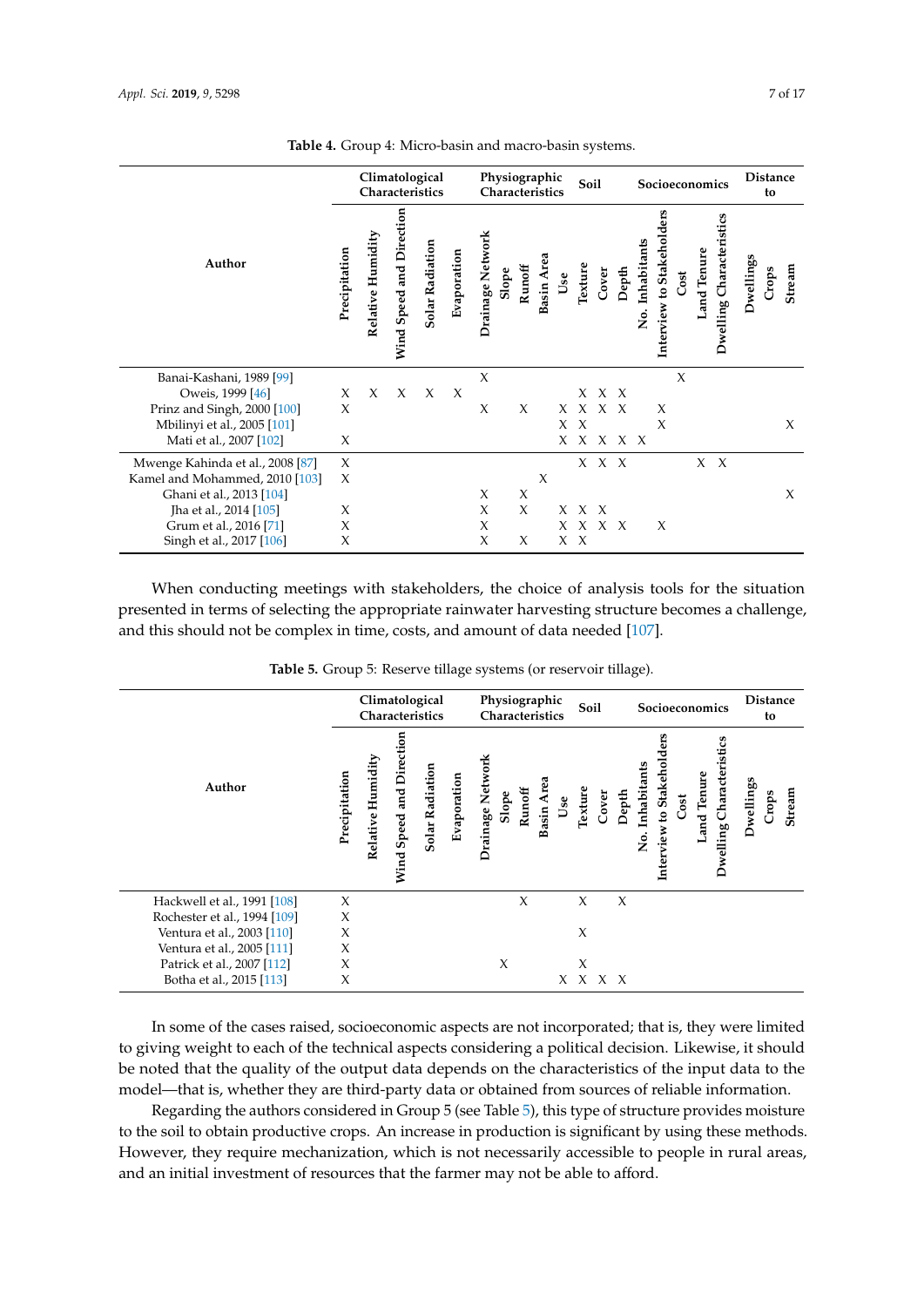|                                  |               | Climatological<br>Characteristics |                          |                 |             |                  | Physiographic<br>Soil<br>Characteristics |        |            |              |                       |              | Socioeconomics        |                  |                        |        |             |                          | <b>Distance</b><br>to |       |        |
|----------------------------------|---------------|-----------------------------------|--------------------------|-----------------|-------------|------------------|------------------------------------------|--------|------------|--------------|-----------------------|--------------|-----------------------|------------------|------------------------|--------|-------------|--------------------------|-----------------------|-------|--------|
| Author                           | Precipitation | Relative Humidity                 | Wind Speed and Direction | Solar Radiation | Evaporation | Drainage Network | Slope                                    | Runoff | Basin Area | $_{\rm Use}$ | Texture               | Cover        | Depth                 | Inhabitants<br>ż | Interview to Stakehold | Cost   | Land Tenure | Dwelling Characteristics | Dwellings             | Crops | Stream |
| Banai-Kashani, 1989 [99]         |               |                                   |                          |                 |             | $\chi$           |                                          |        |            |              |                       |              |                       |                  |                        | $\chi$ |             |                          |                       |       |        |
| Oweis, 1999 [46]                 | X             | X                                 | X                        | X               | $\chi$      |                  |                                          |        |            |              |                       | X X X        |                       |                  |                        |        |             |                          |                       |       |        |
| Prinz and Singh, 2000 [100]      | X             |                                   |                          |                 |             | $\chi$           |                                          | X      |            |              | $X \times X \times X$ |              |                       |                  | X                      |        |             |                          |                       |       |        |
| Mbilinyi et al., 2005 [101]      |               |                                   |                          |                 |             |                  |                                          |        |            | X            | $\boldsymbol{\chi}$   |              |                       |                  | X                      |        |             |                          |                       |       | X      |
| Mati et al., 2007 [102]          | X             |                                   |                          |                 |             |                  |                                          |        |            | X            |                       |              | $X \times X \times X$ |                  |                        |        |             |                          |                       |       |        |
| Mwenge Kahinda et al., 2008 [87] | $\chi$        |                                   |                          |                 |             |                  |                                          |        |            |              |                       | $X \times X$ |                       |                  |                        |        |             | $X \ X$                  |                       |       |        |
| Kamel and Mohammed, 2010 [103]   | X             |                                   |                          |                 |             |                  |                                          |        | X          |              |                       |              |                       |                  |                        |        |             |                          |                       |       |        |
| Ghani et al., 2013 [104]         |               |                                   |                          |                 |             | X                |                                          | X      |            |              |                       |              |                       |                  |                        |        |             |                          |                       |       | X      |
| Jha et al., 2014 [105]           | X             |                                   |                          |                 |             | $\chi$           |                                          | X      |            |              | $X \times X$          |              |                       |                  |                        |        |             |                          |                       |       |        |
| Grum et al., 2016 [71]           | X             |                                   |                          |                 |             | X                |                                          |        |            |              | $X \times X \times X$ |              |                       |                  | X                      |        |             |                          |                       |       |        |
| Singh et al., 2017 [106]         | X             |                                   |                          |                 |             | X                |                                          | X      |            |              | X X                   |              |                       |                  |                        |        |             |                          |                       |       |        |

**Table 4.** Group 4: Micro-basin and macro-basin systems.

When conducting meetings with stakeholders, the choice of analysis tools for the situation presented in terms of selecting the appropriate rainwater harvesting structure becomes a challenge, and this should not be complex in time, costs, and amount of data needed [\[107\]](#page-16-9).

| <b>Table 5.</b> Group 5: Reserve tillage systems (or reservoir tillage). |  |  |  |  |
|--------------------------------------------------------------------------|--|--|--|--|
|--------------------------------------------------------------------------|--|--|--|--|

<span id="page-6-0"></span>

|                              |               | Climatological<br>Characteristics |                                |                 |             |                           | Physiographic<br>Characteristics |            |     |         |       |        | Socioeconomics   |                        |      |             |                             | <b>Distance</b><br>to |       |        |
|------------------------------|---------------|-----------------------------------|--------------------------------|-----------------|-------------|---------------------------|----------------------------------|------------|-----|---------|-------|--------|------------------|------------------------|------|-------------|-----------------------------|-----------------------|-------|--------|
| Author                       | Precipitation | Humidity<br>Relative              | and Direction<br>Speed<br>Wind | Solar Radiation | Evaporation | Drainage Network<br>Slope | Runoff                           | Basin Area | Use | Texture | Cover | Depth  | Inhabitants<br>ż | to Stakehol<br>terview | Cost | Land Tenure | Characteristics<br>Dwelling | Dwellings             | Crops | Stream |
| Hackwell et al., 1991 [108]  | $\chi$        |                                   |                                |                 |             |                           | X                                |            |     | X       |       | $\chi$ |                  |                        |      |             |                             |                       |       |        |
| Rochester et al., 1994 [109] | X             |                                   |                                |                 |             |                           |                                  |            |     |         |       |        |                  |                        |      |             |                             |                       |       |        |
| Ventura et al., 2003 [110]   | X             |                                   |                                |                 |             |                           |                                  |            |     | X       |       |        |                  |                        |      |             |                             |                       |       |        |
| Ventura et al., 2005 [111]   | X             |                                   |                                |                 |             |                           |                                  |            |     |         |       |        |                  |                        |      |             |                             |                       |       |        |
| Patrick et al., 2007 [112]   | X             |                                   |                                |                 |             | X                         |                                  |            |     | X       |       |        |                  |                        |      |             |                             |                       |       |        |
| Botha et al., 2015 [113]     | X             |                                   |                                |                 |             |                           |                                  |            |     | X X X X |       |        |                  |                        |      |             |                             |                       |       |        |

In some of the cases raised, socioeconomic aspects are not incorporated; that is, they were limited to giving weight to each of the technical aspects considering a political decision. Likewise, it should be noted that the quality of the output data depends on the characteristics of the input data to the model—that is, whether they are third-party data or obtained from sources of reliable information.

Regarding the authors considered in Group 5 (see Table [5\)](#page-6-0), this type of structure provides moisture to the soil to obtain productive crops. An increase in production is significant by using these methods. However, they require mechanization, which is not necessarily accessible to people in rural areas, and an initial investment of resources that the farmer may not be able to afford.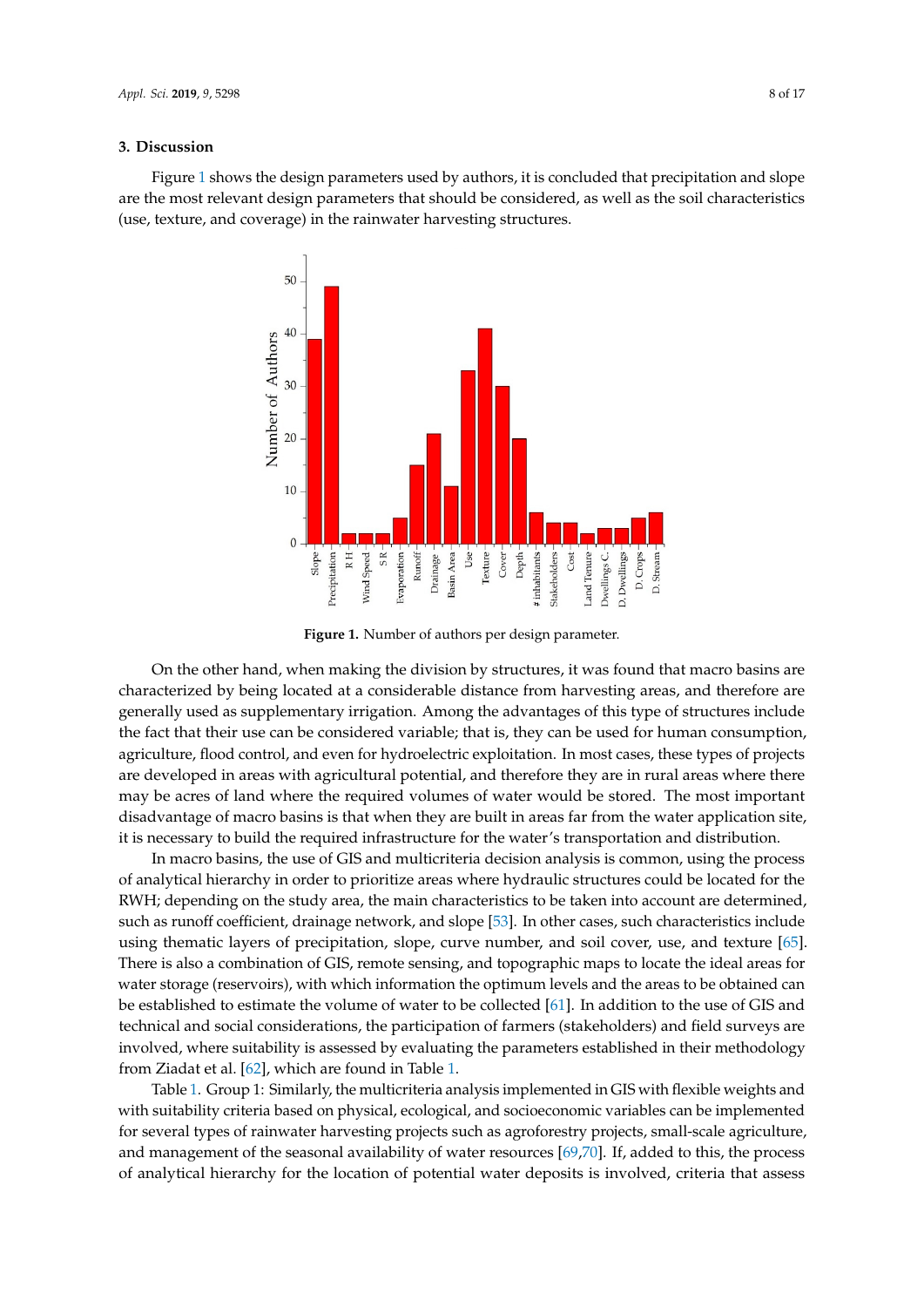## **3. Discussion 3. Discussion**

<span id="page-7-0"></span>Figure 1 shows the design parameters used by authors, it is concluded that precipitation and slope Fi[gur](#page-7-0)e 1 shows the design parameters used by authors, it is concluded that precipitation and are the most relevant design parameters that should be considered, as well as the soil characteristics (use, texture, and coverage) in the rainwater harvesting structures.



**Figure 1.** Number of authors per design parameter. **Figure 1.** Number of authors per design parameter.

On the other hand, when making the division by structures, it was found that macro basins are On the other hand, when making the division by structures, it was found that macro basins are characterized by being located at a considerable distance from harvesting areas, and therefore are characterized by being located at a considerable distance from harvesting areas, and therefore are generally used as supplementary irrigation. Among the advantages of this type of structures include generally used as supplementary irrigation. Among the advantages of this type of structures include the fact that their use can be considered variable; that is, they can be used for human consumption, agriculture, flood control, and even for hydroelectric exploitation. In most cases, these types of agriculture, flood control, and even for hydroelectric exploitation. In most cases, these types of projects are developed in areas with agricultural potential, and therefore they are in rural areas where there may be acres of land where the required volumes of water would be stored. The most important disadvantage of macro basins is that when they are built in areas far from the water application site,<br>. it is necessary to build the required infrastructure for the water's transportation and distribution.

In macro basins, the use of GIS and multicriteria decision analysis is common, using the process of analytical hierarchy in order to prioritize areas where hydraulic structures could be located for the<br>———————————————————— RWH; depending on the study area, the main characteristics to be taken into account are determined, such as runoff coefficient, drainage network, and slope [\[53\]](#page-13-11). In other cases, such characteristics include using thematic layers of precipitation, slope, curve number, and soil cover, use, and texture  $[65]$ . There is also a combination of GIS, remote sensing, and topographic maps to locate the ideal areas for water storage (reservoirs), with which information the optimum levels and the areas to be obtained can be established to estimate the volume of water to be collected  $[61]$ . In addition to the use of GIS and  $\overline{\phantom{a}}$ technical and social considerations, the participation of farmers (stakeholders) and field surveys are involved, where suitability is assessed by evaluating the parameters established in their methodology from Ziadat et al. [\[62\]](#page-14-3), which are found in Table [1.](#page-3-0)<br> $\frac{1}{100}$ 

Table [1.](#page-3-0) Group 1: Similarly, the multicriteria analysis implemented in GIS with flexible weights and with suitability criteria based on physical, ecological, and socioeconomic variables can be implemented for several types of rainwater harvesting projects such as agroforestry projects, small-scale agriculture, and management of the seasonal availability of water resources  $[69,70]$  $[69,70]$ . If, added to this, the process of analytical hierarchy for the location of potential water deposits is involved, criteria that assess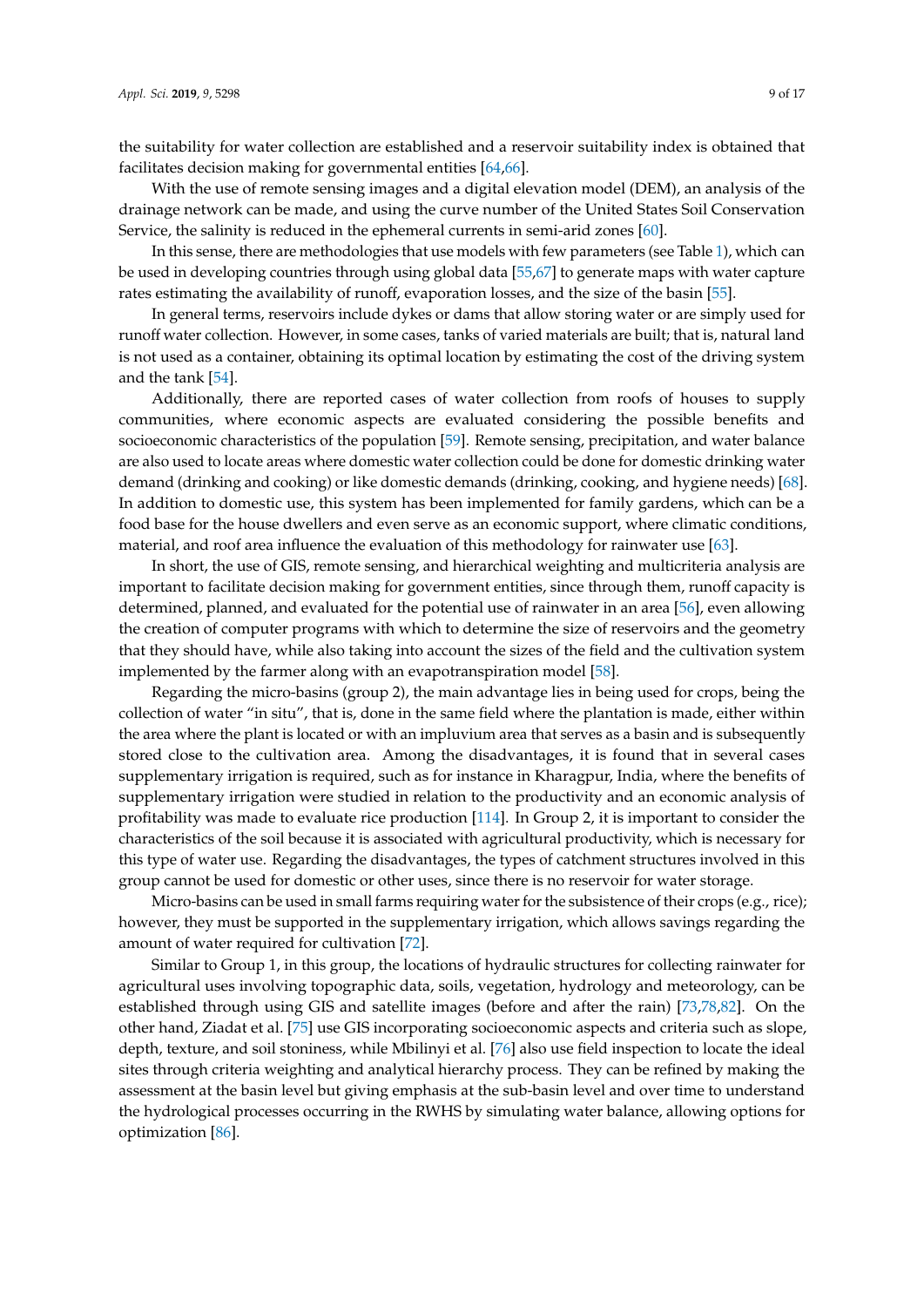the suitability for water collection are established and a reservoir suitability index is obtained that facilitates decision making for governmental entities [\[64](#page-14-5)[,66\]](#page-14-7).

With the use of remote sensing images and a digital elevation model (DEM), an analysis of the drainage network can be made, and using the curve number of the United States Soil Conservation Service, the salinity is reduced in the ephemeral currents in semi-arid zones [\[60\]](#page-14-1).

In this sense, there are methodologies that use models with few parameters (see Table [1\)](#page-3-0), which can be used in developing countries through using global data [\[55](#page-13-13)[,67\]](#page-14-8) to generate maps with water capture rates estimating the availability of runoff, evaporation losses, and the size of the basin [\[55\]](#page-13-13).

In general terms, reservoirs include dykes or dams that allow storing water or are simply used for runoff water collection. However, in some cases, tanks of varied materials are built; that is, natural land is not used as a container, obtaining its optimal location by estimating the cost of the driving system and the tank [\[54\]](#page-13-12).

Additionally, there are reported cases of water collection from roofs of houses to supply communities, where economic aspects are evaluated considering the possible benefits and socioeconomic characteristics of the population [\[59\]](#page-14-0). Remote sensing, precipitation, and water balance are also used to locate areas where domestic water collection could be done for domestic drinking water demand (drinking and cooking) or like domestic demands (drinking, cooking, and hygiene needs) [\[68\]](#page-14-9). In addition to domestic use, this system has been implemented for family gardens, which can be a food base for the house dwellers and even serve as an economic support, where climatic conditions, material, and roof area influence the evaluation of this methodology for rainwater use [\[63\]](#page-14-4).

In short, the use of GIS, remote sensing, and hierarchical weighting and multicriteria analysis are important to facilitate decision making for government entities, since through them, runoff capacity is determined, planned, and evaluated for the potential use of rainwater in an area [\[56\]](#page-13-14), even allowing the creation of computer programs with which to determine the size of reservoirs and the geometry that they should have, while also taking into account the sizes of the field and the cultivation system implemented by the farmer along with an evapotranspiration model [\[58\]](#page-13-16).

Regarding the micro-basins (group 2), the main advantage lies in being used for crops, being the collection of water "in situ", that is, done in the same field where the plantation is made, either within the area where the plant is located or with an impluvium area that serves as a basin and is subsequently stored close to the cultivation area. Among the disadvantages, it is found that in several cases supplementary irrigation is required, such as for instance in Kharagpur, India, where the benefits of supplementary irrigation were studied in relation to the productivity and an economic analysis of profitability was made to evaluate rice production [\[114\]](#page-16-16). In Group 2, it is important to consider the characteristics of the soil because it is associated with agricultural productivity, which is necessary for this type of water use. Regarding the disadvantages, the types of catchment structures involved in this group cannot be used for domestic or other uses, since there is no reservoir for water storage.

Micro-basins can be used in small farms requiring water for the subsistence of their crops (e.g., rice); however, they must be supported in the supplementary irrigation, which allows savings regarding the amount of water required for cultivation [\[72\]](#page-14-13).

Similar to Group 1, in this group, the locations of hydraulic structures for collecting rainwater for agricultural uses involving topographic data, soils, vegetation, hydrology and meteorology, can be established through using GIS and satellite images (before and after the rain) [\[73](#page-14-14)[,78,](#page-14-19)[82\]](#page-15-3). On the other hand, Ziadat et al. [\[75\]](#page-14-16) use GIS incorporating socioeconomic aspects and criteria such as slope, depth, texture, and soil stoniness, while Mbilinyi et al. [\[76\]](#page-14-17) also use field inspection to locate the ideal sites through criteria weighting and analytical hierarchy process. They can be refined by making the assessment at the basin level but giving emphasis at the sub-basin level and over time to understand the hydrological processes occurring in the RWHS by simulating water balance, allowing options for optimization [\[86\]](#page-15-7).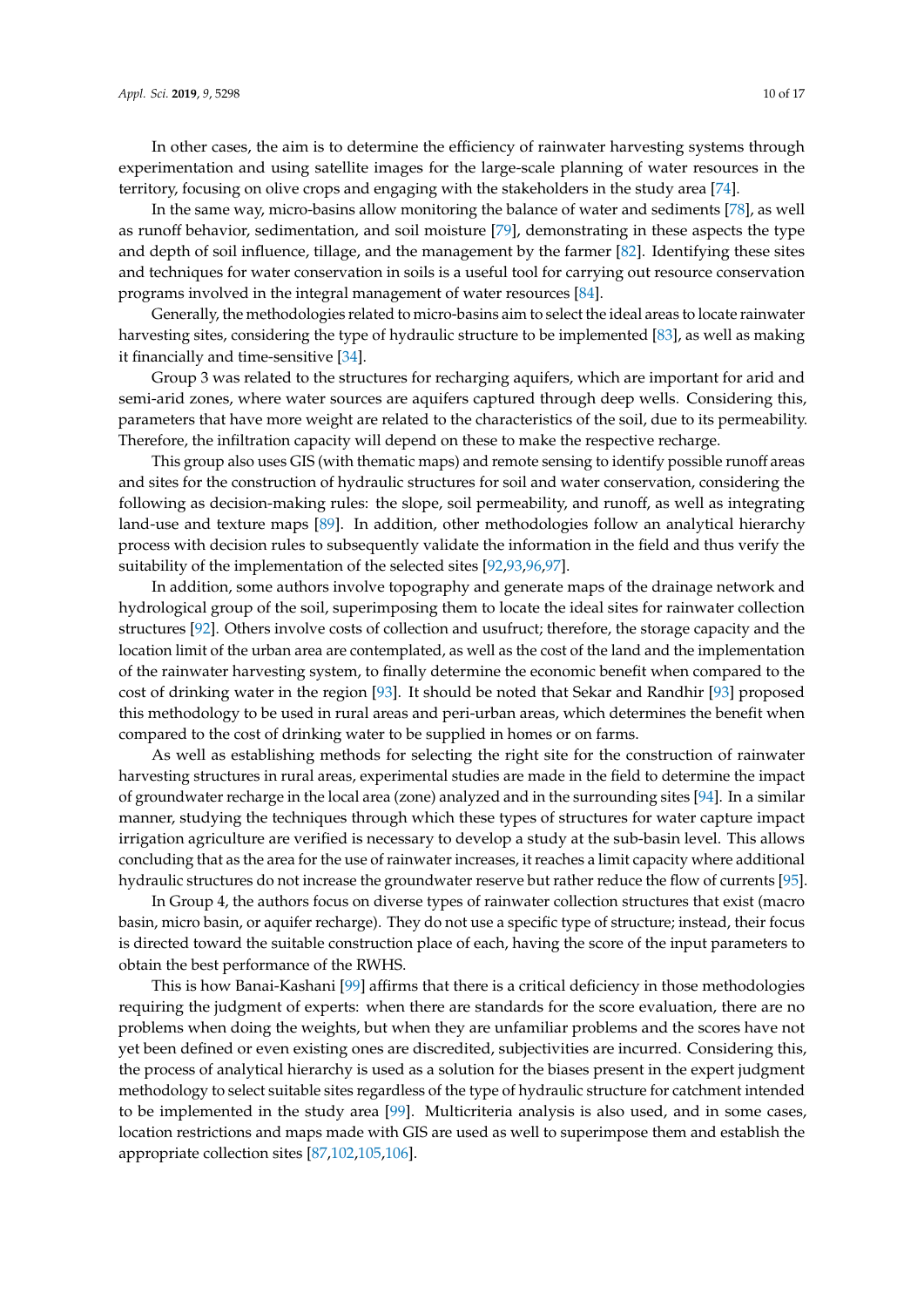In other cases, the aim is to determine the efficiency of rainwater harvesting systems through experimentation and using satellite images for the large-scale planning of water resources in the territory, focusing on olive crops and engaging with the stakeholders in the study area [\[74\]](#page-14-15).

In the same way, micro-basins allow monitoring the balance of water and sediments [\[78\]](#page-14-19), as well as runoff behavior, sedimentation, and soil moisture [\[79\]](#page-15-0), demonstrating in these aspects the type and depth of soil influence, tillage, and the management by the farmer [\[82\]](#page-15-3). Identifying these sites and techniques for water conservation in soils is a useful tool for carrying out resource conservation programs involved in the integral management of water resources [\[84\]](#page-15-5).

Generally, the methodologies related to micro-basins aim to select the ideal areas to locate rainwater harvesting sites, considering the type of hydraulic structure to be implemented [\[83\]](#page-15-4), as well as making it financially and time-sensitive [\[34\]](#page-12-15).

Group 3 was related to the structures for recharging aquifers, which are important for arid and semi-arid zones, where water sources are aquifers captured through deep wells. Considering this, parameters that have more weight are related to the characteristics of the soil, due to its permeability. Therefore, the infiltration capacity will depend on these to make the respective recharge.

This group also uses GIS (with thematic maps) and remote sensing to identify possible runoff areas and sites for the construction of hydraulic structures for soil and water conservation, considering the following as decision-making rules: the slope, soil permeability, and runoff, as well as integrating land-use and texture maps [\[89\]](#page-15-10). In addition, other methodologies follow an analytical hierarchy process with decision rules to subsequently validate the information in the field and thus verify the suitability of the implementation of the selected sites [\[92,](#page-15-13)[93,](#page-15-14)[96,](#page-15-17)[97\]](#page-15-18).

In addition, some authors involve topography and generate maps of the drainage network and hydrological group of the soil, superimposing them to locate the ideal sites for rainwater collection structures [\[92\]](#page-15-13). Others involve costs of collection and usufruct; therefore, the storage capacity and the location limit of the urban area are contemplated, as well as the cost of the land and the implementation of the rainwater harvesting system, to finally determine the economic benefit when compared to the cost of drinking water in the region [\[93\]](#page-15-14). It should be noted that Sekar and Randhir [\[93\]](#page-15-14) proposed this methodology to be used in rural areas and peri-urban areas, which determines the benefit when compared to the cost of drinking water to be supplied in homes or on farms.

As well as establishing methods for selecting the right site for the construction of rainwater harvesting structures in rural areas, experimental studies are made in the field to determine the impact of groundwater recharge in the local area (zone) analyzed and in the surrounding sites [\[94\]](#page-15-15). In a similar manner, studying the techniques through which these types of structures for water capture impact irrigation agriculture are verified is necessary to develop a study at the sub-basin level. This allows concluding that as the area for the use of rainwater increases, it reaches a limit capacity where additional hydraulic structures do not increase the groundwater reserve but rather reduce the flow of currents [\[95\]](#page-15-16).

In Group 4, the authors focus on diverse types of rainwater collection structures that exist (macro basin, micro basin, or aquifer recharge). They do not use a specific type of structure; instead, their focus is directed toward the suitable construction place of each, having the score of the input parameters to obtain the best performance of the RWHS.

This is how Banai-Kashani [\[99\]](#page-16-1) affirms that there is a critical deficiency in those methodologies requiring the judgment of experts: when there are standards for the score evaluation, there are no problems when doing the weights, but when they are unfamiliar problems and the scores have not yet been defined or even existing ones are discredited, subjectivities are incurred. Considering this, the process of analytical hierarchy is used as a solution for the biases present in the expert judgment methodology to select suitable sites regardless of the type of hydraulic structure for catchment intended to be implemented in the study area [\[99\]](#page-16-1). Multicriteria analysis is also used, and in some cases, location restrictions and maps made with GIS are used as well to superimpose them and establish the appropriate collection sites [\[87](#page-15-8)[,102](#page-16-4)[,105,](#page-16-7)[106\]](#page-16-8).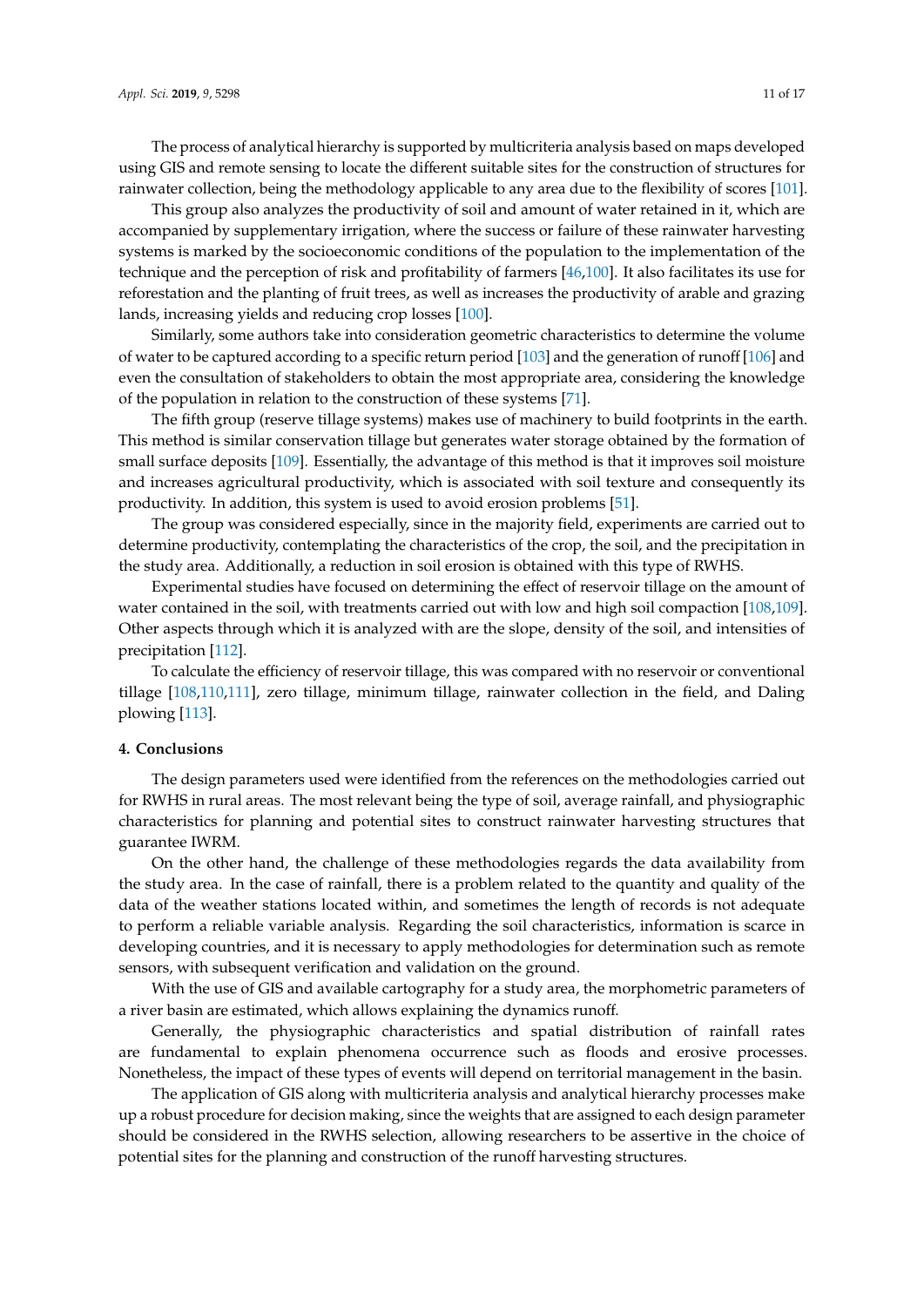The process of analytical hierarchy is supported by multicriteria analysis based on maps developed using GIS and remote sensing to locate the different suitable sites for the construction of structures for rainwater collection, being the methodology applicable to any area due to the flexibility of scores [\[101\]](#page-16-3).

This group also analyzes the productivity of soil and amount of water retained in it, which are accompanied by supplementary irrigation, where the success or failure of these rainwater harvesting systems is marked by the socioeconomic conditions of the population to the implementation of the technique and the perception of risk and profitability of farmers [\[46](#page-13-4)[,100\]](#page-16-2). It also facilitates its use for reforestation and the planting of fruit trees, as well as increases the productivity of arable and grazing lands, increasing yields and reducing crop losses [\[100\]](#page-16-2).

Similarly, some authors take into consideration geometric characteristics to determine the volume of water to be captured according to a specific return period [\[103\]](#page-16-5) and the generation of runoff [\[106\]](#page-16-8) and even the consultation of stakeholders to obtain the most appropriate area, considering the knowledge of the population in relation to the construction of these systems [\[71\]](#page-14-12).

The fifth group (reserve tillage systems) makes use of machinery to build footprints in the earth. This method is similar conservation tillage but generates water storage obtained by the formation of small surface deposits [\[109\]](#page-16-11). Essentially, the advantage of this method is that it improves soil moisture and increases agricultural productivity, which is associated with soil texture and consequently its productivity. In addition, this system is used to avoid erosion problems [\[51\]](#page-13-9).

The group was considered especially, since in the majority field, experiments are carried out to determine productivity, contemplating the characteristics of the crop, the soil, and the precipitation in the study area. Additionally, a reduction in soil erosion is obtained with this type of RWHS.

Experimental studies have focused on determining the effect of reservoir tillage on the amount of water contained in the soil, with treatments carried out with low and high soil compaction [\[108,](#page-16-10)[109\]](#page-16-11). Other aspects through which it is analyzed with are the slope, density of the soil, and intensities of precipitation [\[112\]](#page-16-14).

To calculate the efficiency of reservoir tillage, this was compared with no reservoir or conventional tillage [\[108,](#page-16-10)[110,](#page-16-12)[111\]](#page-16-13), zero tillage, minimum tillage, rainwater collection in the field, and Daling plowing [\[113\]](#page-16-15).

## **4. Conclusions**

The design parameters used were identified from the references on the methodologies carried out for RWHS in rural areas. The most relevant being the type of soil, average rainfall, and physiographic characteristics for planning and potential sites to construct rainwater harvesting structures that guarantee IWRM.

On the other hand, the challenge of these methodologies regards the data availability from the study area. In the case of rainfall, there is a problem related to the quantity and quality of the data of the weather stations located within, and sometimes the length of records is not adequate to perform a reliable variable analysis. Regarding the soil characteristics, information is scarce in developing countries, and it is necessary to apply methodologies for determination such as remote sensors, with subsequent verification and validation on the ground.

With the use of GIS and available cartography for a study area, the morphometric parameters of a river basin are estimated, which allows explaining the dynamics runoff.

Generally, the physiographic characteristics and spatial distribution of rainfall rates are fundamental to explain phenomena occurrence such as floods and erosive processes. Nonetheless, the impact of these types of events will depend on territorial management in the basin.

The application of GIS along with multicriteria analysis and analytical hierarchy processes make up a robust procedure for decision making, since the weights that are assigned to each design parameter should be considered in the RWHS selection, allowing researchers to be assertive in the choice of potential sites for the planning and construction of the runoff harvesting structures.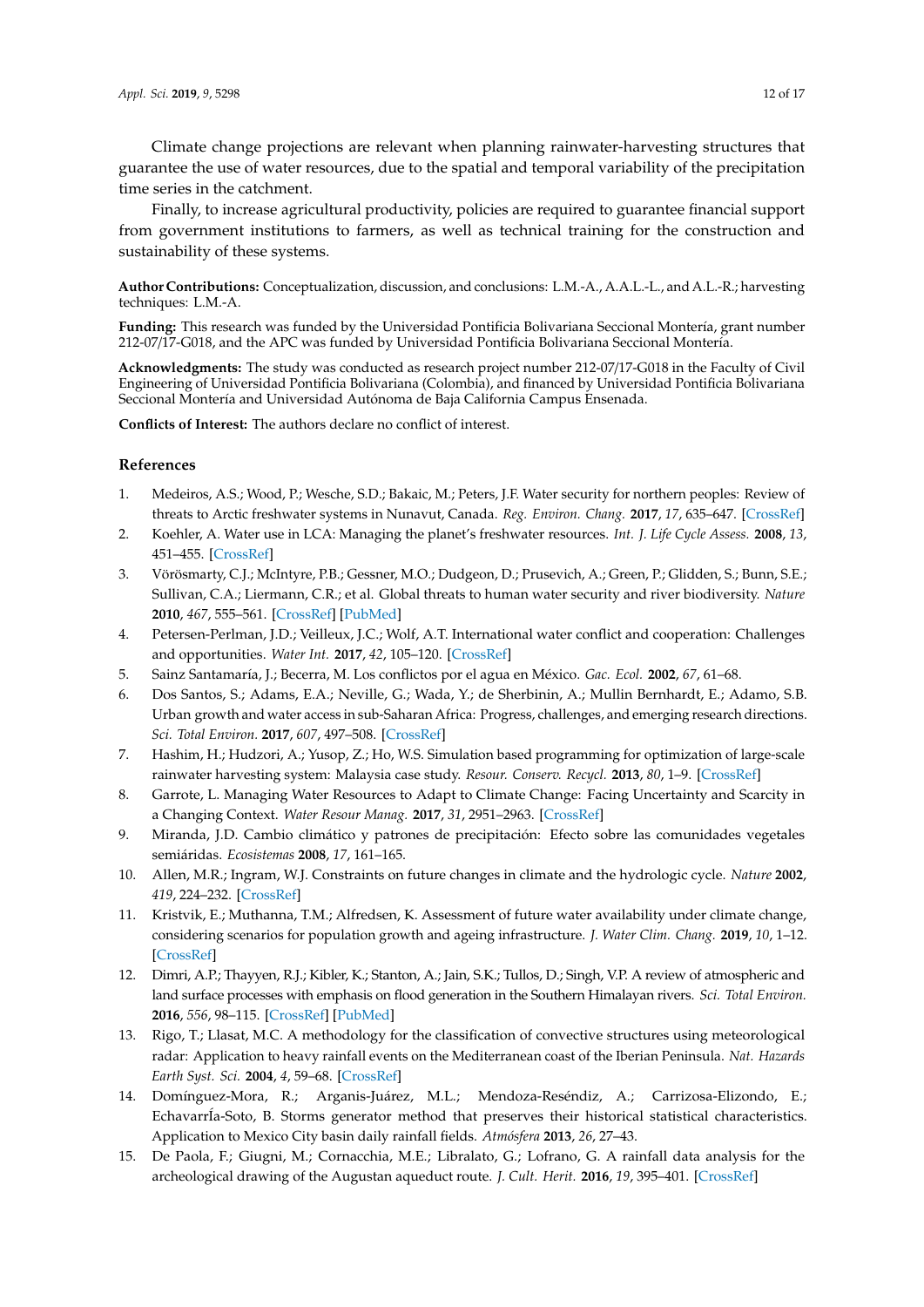Finally, to increase agricultural productivity, policies are required to guarantee financial support from government institutions to farmers, as well as technical training for the construction and sustainability of these systems.

**Author Contributions:** Conceptualization, discussion, and conclusions: L.M.-A., A.A.L.-L., and A.L.-R.; harvesting techniques: L.M.-A.

**Funding:** This research was funded by the Universidad Pontificia Bolivariana Seccional Montería, grant number 212-07/17-G018, and the APC was funded by Universidad Pontificia Bolivariana Seccional Montería.

**Acknowledgments:** The study was conducted as research project number 212-07/17-G018 in the Faculty of Civil Engineering of Universidad Pontificia Bolivariana (Colombia), and financed by Universidad Pontificia Bolivariana Seccional Montería and Universidad Autónoma de Baja California Campus Ensenada.

**Conflicts of Interest:** The authors declare no conflict of interest.

### **References**

- <span id="page-11-0"></span>1. Medeiros, A.S.; Wood, P.; Wesche, S.D.; Bakaic, M.; Peters, J.F. Water security for northern peoples: Review of threats to Arctic freshwater systems in Nunavut, Canada. *Reg. Environ. Chang.* **2017**, *17*, 635–647. [\[CrossRef\]](http://dx.doi.org/10.1007/s10113-016-1084-2)
- 2. Koehler, A. Water use in LCA: Managing the planet's freshwater resources. *Int. J. Life Cycle Assess.* **2008**, *13*, 451–455. [\[CrossRef\]](http://dx.doi.org/10.1007/s11367-008-0028-6)
- <span id="page-11-1"></span>3. Vörösmarty, C.J.; McIntyre, P.B.; Gessner, M.O.; Dudgeon, D.; Prusevich, A.; Green, P.; Glidden, S.; Bunn, S.E.; Sullivan, C.A.; Liermann, C.R.; et al. Global threats to human water security and river biodiversity. *Nature* **2010**, *467*, 555–561. [\[CrossRef\]](http://dx.doi.org/10.1038/nature09440) [\[PubMed\]](http://www.ncbi.nlm.nih.gov/pubmed/20882010)
- <span id="page-11-2"></span>4. Petersen-Perlman, J.D.; Veilleux, J.C.; Wolf, A.T. International water conflict and cooperation: Challenges and opportunities. *Water Int.* **2017**, *42*, 105–120. [\[CrossRef\]](http://dx.doi.org/10.1080/02508060.2017.1276041)
- <span id="page-11-3"></span>5. Sainz Santamaría, J.; Becerra, M. Los conflictos por el agua en México. *Gac. Ecol.* **2002**, *67*, 61–68.
- 6. Dos Santos, S.; Adams, E.A.; Neville, G.; Wada, Y.; de Sherbinin, A.; Mullin Bernhardt, E.; Adamo, S.B. Urban growth and water access in sub-Saharan Africa: Progress, challenges, and emerging research directions. *Sci. Total Environ.* **2017**, *607*, 497–508. [\[CrossRef\]](http://dx.doi.org/10.1016/j.scitotenv.2017.06.157)
- <span id="page-11-4"></span>7. Hashim, H.; Hudzori, A.; Yusop, Z.; Ho, W.S. Simulation based programming for optimization of large-scale rainwater harvesting system: Malaysia case study. *Resour. Conserv. Recycl.* **2013**, *80*, 1–9. [\[CrossRef\]](http://dx.doi.org/10.1016/j.resconrec.2013.05.001)
- <span id="page-11-5"></span>8. Garrote, L. Managing Water Resources to Adapt to Climate Change: Facing Uncertainty and Scarcity in a Changing Context. *Water Resour Manag.* **2017**, *31*, 2951–2963. [\[CrossRef\]](http://dx.doi.org/10.1007/s11269-017-1714-6)
- 9. Miranda, J.D. Cambio climático y patrones de precipitación: Efecto sobre las comunidades vegetales semiáridas. *Ecosistemas* **2008**, *17*, 161–165.
- 10. Allen, M.R.; Ingram, W.J. Constraints on future changes in climate and the hydrologic cycle. *Nature* **2002**, *419*, 224–232. [\[CrossRef\]](http://dx.doi.org/10.1038/nature01092)
- <span id="page-11-6"></span>11. Kristvik, E.; Muthanna, T.M.; Alfredsen, K. Assessment of future water availability under climate change, considering scenarios for population growth and ageing infrastructure. *J. Water Clim. Chang.* **2019**, *10*, 1–12. [\[CrossRef\]](http://dx.doi.org/10.2166/wcc.2018.096)
- <span id="page-11-7"></span>12. Dimri, A.P.; Thayyen, R.J.; Kibler, K.; Stanton, A.; Jain, S.K.; Tullos, D.; Singh, V.P. A review of atmospheric and land surface processes with emphasis on flood generation in the Southern Himalayan rivers. *Sci. Total Environ.* **2016**, *556*, 98–115. [\[CrossRef\]](http://dx.doi.org/10.1016/j.scitotenv.2016.02.206) [\[PubMed\]](http://www.ncbi.nlm.nih.gov/pubmed/26974566)
- <span id="page-11-8"></span>13. Rigo, T.; Llasat, M.C. A methodology for the classification of convective structures using meteorological radar: Application to heavy rainfall events on the Mediterranean coast of the Iberian Peninsula. *Nat. Hazards Earth Syst. Sci.* **2004**, *4*, 59–68. [\[CrossRef\]](http://dx.doi.org/10.5194/nhess-4-59-2004)
- <span id="page-11-9"></span>14. Domínguez-Mora, R.; Arganis-Juárez, M.L.; Mendoza-Reséndiz, A.; Carrizosa-Elizondo, E.; EchavarrÍa-Soto, B. Storms generator method that preserves their historical statistical characteristics. Application to Mexico City basin daily rainfall fields. *Atmósfera* **2013**, *26*, 27–43.
- <span id="page-11-10"></span>15. De Paola, F.; Giugni, M.; Cornacchia, M.E.; Libralato, G.; Lofrano, G. A rainfall data analysis for the archeological drawing of the Augustan aqueduct route. *J. Cult. Herit.* **2016**, *19*, 395–401. [\[CrossRef\]](http://dx.doi.org/10.1016/j.culher.2016.01.006)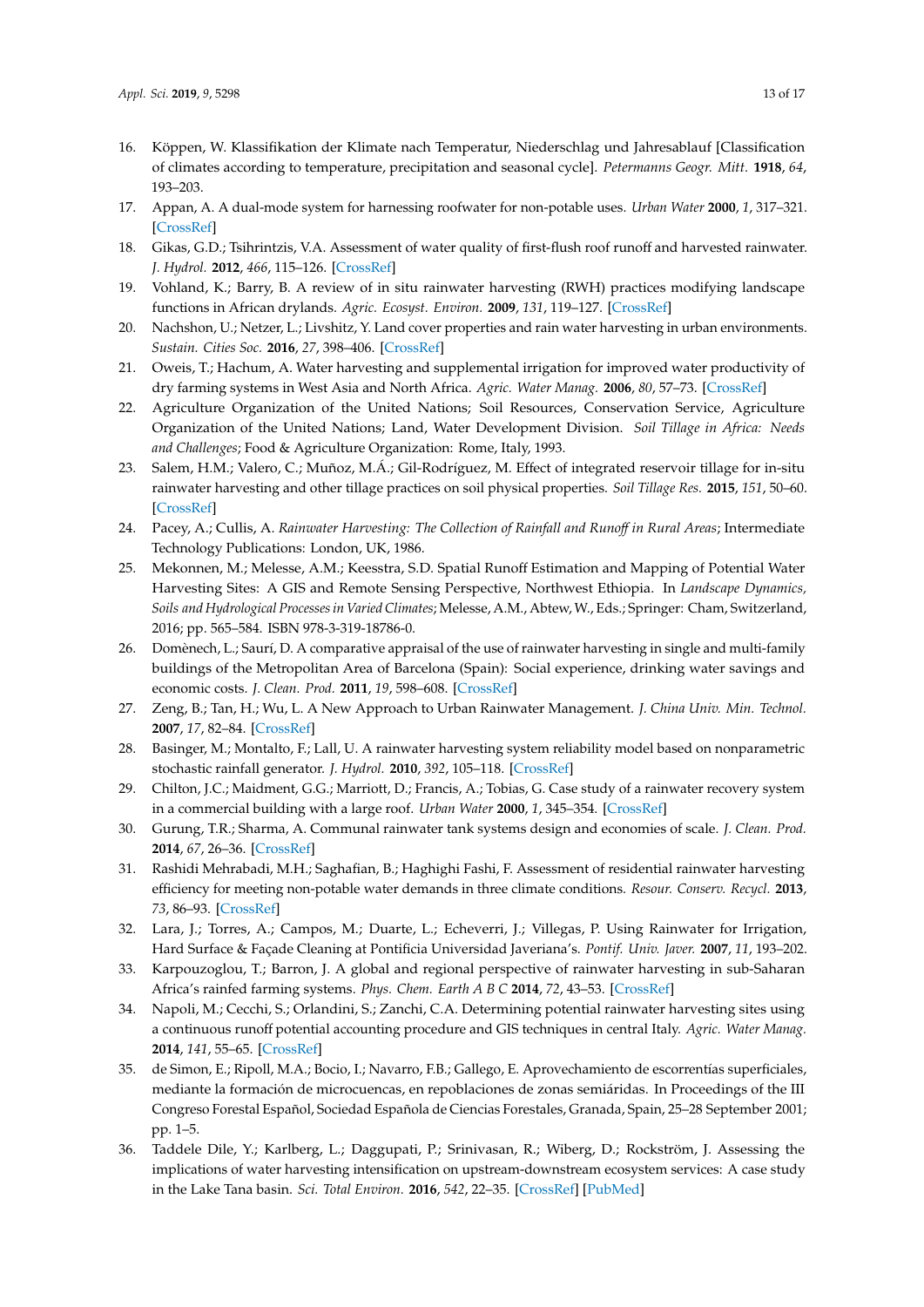- <span id="page-12-0"></span>16. Köppen, W. Klassifikation der Klimate nach Temperatur, Niederschlag und Jahresablauf [Classification of climates according to temperature, precipitation and seasonal cycle]. *Petermanns Geogr. Mitt.* **1918**, *64*, 193–203.
- <span id="page-12-1"></span>17. Appan, A. A dual-mode system for harnessing roofwater for non-potable uses. *Urban Water* **2000**, *1*, 317–321. [\[CrossRef\]](http://dx.doi.org/10.1016/S1462-0758(00)00025-X)
- <span id="page-12-10"></span>18. Gikas, G.D.; Tsihrintzis, V.A. Assessment of water quality of first-flush roof runoff and harvested rainwater. *J. Hydrol.* **2012**, *466*, 115–126. [\[CrossRef\]](http://dx.doi.org/10.1016/j.jhydrol.2012.08.020)
- <span id="page-12-2"></span>19. Vohland, K.; Barry, B. A review of in situ rainwater harvesting (RWH) practices modifying landscape functions in African drylands. *Agric. Ecosyst. Environ.* **2009**, *131*, 119–127. [\[CrossRef\]](http://dx.doi.org/10.1016/j.agee.2009.01.010)
- <span id="page-12-3"></span>20. Nachshon, U.; Netzer, L.; Livshitz, Y. Land cover properties and rain water harvesting in urban environments. *Sustain. Cities Soc.* **2016**, *27*, 398–406. [\[CrossRef\]](http://dx.doi.org/10.1016/j.scs.2016.08.008)
- <span id="page-12-4"></span>21. Oweis, T.; Hachum, A. Water harvesting and supplemental irrigation for improved water productivity of dry farming systems in West Asia and North Africa. *Agric. Water Manag.* **2006**, *80*, 57–73. [\[CrossRef\]](http://dx.doi.org/10.1016/j.agwat.2005.07.004)
- 22. Agriculture Organization of the United Nations; Soil Resources, Conservation Service, Agriculture Organization of the United Nations; Land, Water Development Division. *Soil Tillage in Africa: Needs and Challenges*; Food & Agriculture Organization: Rome, Italy, 1993.
- <span id="page-12-5"></span>23. Salem, H.M.; Valero, C.; Muñoz, M.Á.; Gil-Rodríguez, M. Effect of integrated reservoir tillage for in-situ rainwater harvesting and other tillage practices on soil physical properties. *Soil Tillage Res.* **2015**, *151*, 50–60. [\[CrossRef\]](http://dx.doi.org/10.1016/j.still.2015.02.009)
- <span id="page-12-6"></span>24. Pacey, A.; Cullis, A. *Rainwater Harvesting: The Collection of Rainfall and Runo*ff *in Rural Areas*; Intermediate Technology Publications: London, UK, 1986.
- <span id="page-12-7"></span>25. Mekonnen, M.; Melesse, A.M.; Keesstra, S.D. Spatial Runoff Estimation and Mapping of Potential Water Harvesting Sites: A GIS and Remote Sensing Perspective, Northwest Ethiopia. In *Landscape Dynamics, Soils and Hydrological Processes in Varied Climates*; Melesse, A.M., Abtew, W., Eds.; Springer: Cham, Switzerland, 2016; pp. 565–584. ISBN 978-3-319-18786-0.
- <span id="page-12-8"></span>26. Domènech, L.; Saurí, D. A comparative appraisal of the use of rainwater harvesting in single and multi-family buildings of the Metropolitan Area of Barcelona (Spain): Social experience, drinking water savings and economic costs. *J. Clean. Prod.* **2011**, *19*, 598–608. [\[CrossRef\]](http://dx.doi.org/10.1016/j.jclepro.2010.11.010)
- <span id="page-12-9"></span>27. Zeng, B.; Tan, H.; Wu, L. A New Approach to Urban Rainwater Management. *J. China Univ. Min. Technol.* **2007**, *17*, 82–84. [\[CrossRef\]](http://dx.doi.org/10.1016/S1006-1266(07)60018-2)
- <span id="page-12-11"></span>28. Basinger, M.; Montalto, F.; Lall, U. A rainwater harvesting system reliability model based on nonparametric stochastic rainfall generator. *J. Hydrol.* **2010**, *392*, 105–118. [\[CrossRef\]](http://dx.doi.org/10.1016/j.jhydrol.2010.07.039)
- 29. Chilton, J.C.; Maidment, G.G.; Marriott, D.; Francis, A.; Tobias, G. Case study of a rainwater recovery system in a commercial building with a large roof. *Urban Water* **2000**, *1*, 345–354. [\[CrossRef\]](http://dx.doi.org/10.1016/S1462-0758(00)00032-7)
- 30. Gurung, T.R.; Sharma, A. Communal rainwater tank systems design and economies of scale. *J. Clean. Prod.* **2014**, *67*, 26–36. [\[CrossRef\]](http://dx.doi.org/10.1016/j.jclepro.2013.12.020)
- 31. Rashidi Mehrabadi, M.H.; Saghafian, B.; Haghighi Fashi, F. Assessment of residential rainwater harvesting efficiency for meeting non-potable water demands in three climate conditions. *Resour. Conserv. Recycl.* **2013**, *73*, 86–93. [\[CrossRef\]](http://dx.doi.org/10.1016/j.resconrec.2013.01.015)
- <span id="page-12-12"></span>32. Lara, J.; Torres, A.; Campos, M.; Duarte, L.; Echeverri, J.; Villegas, P. Using Rainwater for Irrigation, Hard Surface & Façade Cleaning at Pontificia Universidad Javeriana's. *Pontif. Univ. Javer.* **2007**, *11*, 193–202.
- <span id="page-12-13"></span>33. Karpouzoglou, T.; Barron, J. A global and regional perspective of rainwater harvesting in sub-Saharan Africa's rainfed farming systems. *Phys. Chem. Earth A B C* **2014**, *72*, 43–53. [\[CrossRef\]](http://dx.doi.org/10.1016/j.pce.2014.09.009)
- <span id="page-12-15"></span>34. Napoli, M.; Cecchi, S.; Orlandini, S.; Zanchi, C.A. Determining potential rainwater harvesting sites using a continuous runoff potential accounting procedure and GIS techniques in central Italy. *Agric. Water Manag.* **2014**, *141*, 55–65. [\[CrossRef\]](http://dx.doi.org/10.1016/j.agwat.2014.04.012)
- 35. de Simon, E.; Ripoll, M.A.; Bocio, I.; Navarro, F.B.; Gallego, E. Aprovechamiento de escorrentías superficiales, mediante la formación de microcuencas, en repoblaciones de zonas semiáridas. In Proceedings of the III Congreso Forestal Español, Sociedad Española de Ciencias Forestales, Granada, Spain, 25–28 September 2001; pp. 1–5.
- <span id="page-12-14"></span>36. Taddele Dile, Y.; Karlberg, L.; Daggupati, P.; Srinivasan, R.; Wiberg, D.; Rockström, J. Assessing the implications of water harvesting intensification on upstream-downstream ecosystem services: A case study in the Lake Tana basin. *Sci. Total Environ.* **2016**, *542*, 22–35. [\[CrossRef\]](http://dx.doi.org/10.1016/j.scitotenv.2015.10.065) [\[PubMed\]](http://www.ncbi.nlm.nih.gov/pubmed/26519564)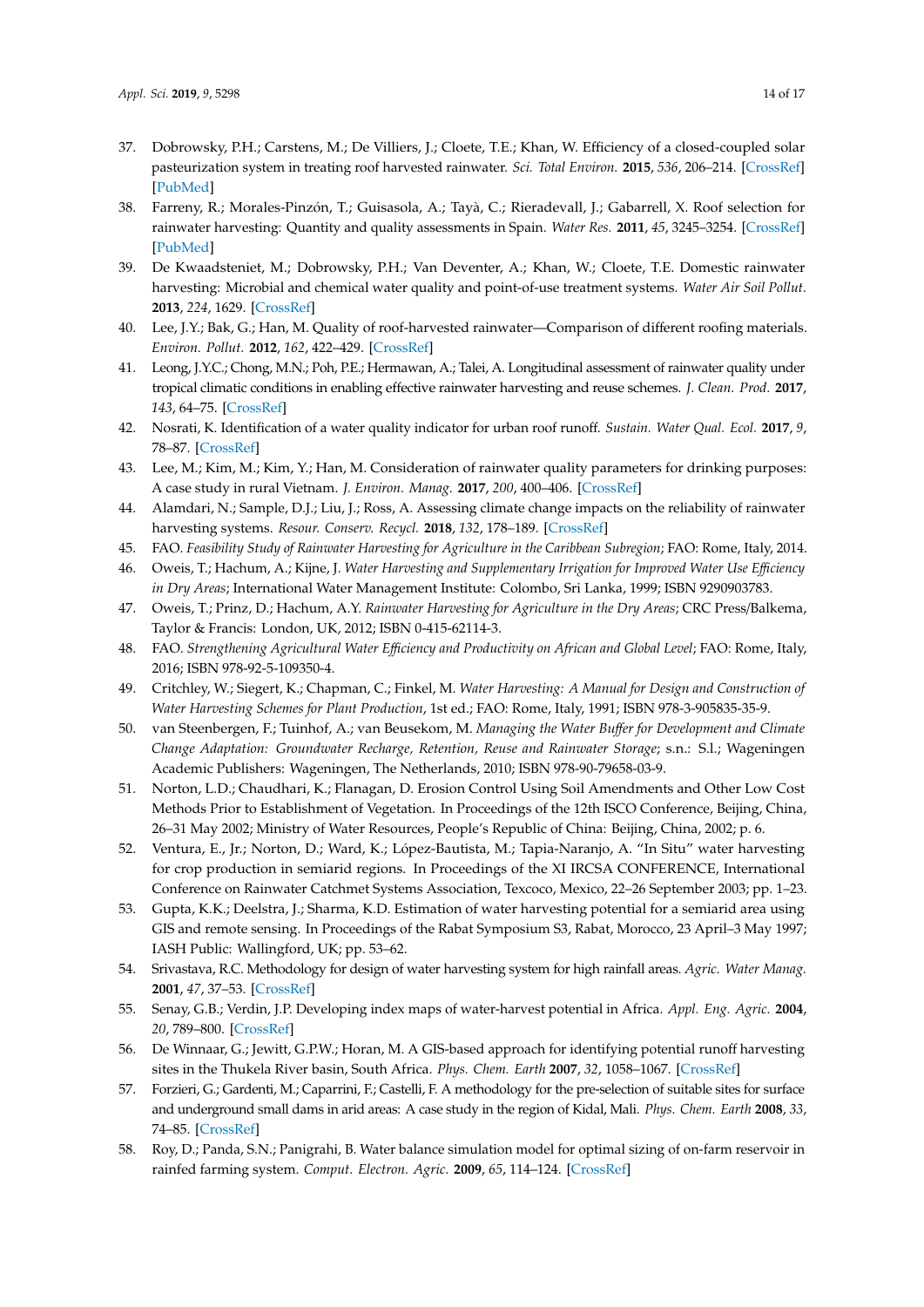- <span id="page-13-0"></span>37. Dobrowsky, P.H.; Carstens, M.; De Villiers, J.; Cloete, T.E.; Khan, W. Efficiency of a closed-coupled solar pasteurization system in treating roof harvested rainwater. *Sci. Total Environ.* **2015**, *536*, 206–214. [\[CrossRef\]](http://dx.doi.org/10.1016/j.scitotenv.2015.06.126) [\[PubMed\]](http://www.ncbi.nlm.nih.gov/pubmed/26218559)
- 38. Farreny, R.; Morales-Pinzón, T.; Guisasola, A.; Tayà, C.; Rieradevall, J.; Gabarrell, X. Roof selection for rainwater harvesting: Quantity and quality assessments in Spain. *Water Res.* **2011**, *45*, 3245–3254. [\[CrossRef\]](http://dx.doi.org/10.1016/j.watres.2011.03.036) [\[PubMed\]](http://www.ncbi.nlm.nih.gov/pubmed/21492898)
- 39. De Kwaadsteniet, M.; Dobrowsky, P.H.; Van Deventer, A.; Khan, W.; Cloete, T.E. Domestic rainwater harvesting: Microbial and chemical water quality and point-of-use treatment systems. *Water Air Soil Pollut.* **2013**, *224*, 1629. [\[CrossRef\]](http://dx.doi.org/10.1007/s11270-013-1629-7)
- 40. Lee, J.Y.; Bak, G.; Han, M. Quality of roof-harvested rainwater—Comparison of different roofing materials. *Environ. Pollut.* **2012**, *162*, 422–429. [\[CrossRef\]](http://dx.doi.org/10.1016/j.envpol.2011.12.005)
- 41. Leong, J.Y.C.; Chong, M.N.; Poh, P.E.; Hermawan, A.; Talei, A. Longitudinal assessment of rainwater quality under tropical climatic conditions in enabling effective rainwater harvesting and reuse schemes. *J. Clean. Prod.* **2017**, *143*, 64–75. [\[CrossRef\]](http://dx.doi.org/10.1016/j.jclepro.2016.12.149)
- 42. Nosrati, K. Identification of a water quality indicator for urban roof runoff. *Sustain. Water Qual. Ecol.* **2017**, *9*, 78–87. [\[CrossRef\]](http://dx.doi.org/10.1016/j.swaqe.2017.07.001)
- <span id="page-13-1"></span>43. Lee, M.; Kim, M.; Kim, Y.; Han, M. Consideration of rainwater quality parameters for drinking purposes: A case study in rural Vietnam. *J. Environ. Manag.* **2017**, *200*, 400–406. [\[CrossRef\]](http://dx.doi.org/10.1016/j.jenvman.2017.05.072)
- <span id="page-13-2"></span>44. Alamdari, N.; Sample, D.J.; Liu, J.; Ross, A. Assessing climate change impacts on the reliability of rainwater harvesting systems. *Resour. Conserv. Recycl.* **2018**, *132*, 178–189. [\[CrossRef\]](http://dx.doi.org/10.1016/j.resconrec.2017.12.013)
- <span id="page-13-3"></span>45. FAO. *Feasibility Study of Rainwater Harvesting for Agriculture in the Caribbean Subregion*; FAO: Rome, Italy, 2014.
- <span id="page-13-4"></span>46. Oweis, T.; Hachum, A.; Kijne, J. *Water Harvesting and Supplementary Irrigation for Improved Water Use E*ffi*ciency in Dry Areas*; International Water Management Institute: Colombo, Sri Lanka, 1999; ISBN 9290903783.
- <span id="page-13-5"></span>47. Oweis, T.; Prinz, D.; Hachum, A.Y. *Rainwater Harvesting for Agriculture in the Dry Areas*; CRC Press/Balkema, Taylor & Francis: London, UK, 2012; ISBN 0-415-62114-3.
- <span id="page-13-6"></span>48. FAO. *Strengthening Agricultural Water E*ffi*ciency and Productivity on African and Global Level*; FAO: Rome, Italy, 2016; ISBN 978-92-5-109350-4.
- <span id="page-13-7"></span>49. Critchley, W.; Siegert, K.; Chapman, C.; Finkel, M. *Water Harvesting: A Manual for Design and Construction of Water Harvesting Schemes for Plant Production*, 1st ed.; FAO: Rome, Italy, 1991; ISBN 978-3-905835-35-9.
- <span id="page-13-8"></span>50. van Steenbergen, F.; Tuinhof, A.; van Beusekom, M. *Managing the Water Bu*ff*er for Development and Climate Change Adaptation: Groundwater Recharge, Retention, Reuse and Rainwater Storage*; s.n.: S.l.; Wageningen Academic Publishers: Wageningen, The Netherlands, 2010; ISBN 978-90-79658-03-9.
- <span id="page-13-9"></span>51. Norton, L.D.; Chaudhari, K.; Flanagan, D. Erosion Control Using Soil Amendments and Other Low Cost Methods Prior to Establishment of Vegetation. In Proceedings of the 12th ISCO Conference, Beijing, China, 26–31 May 2002; Ministry of Water Resources, People's Republic of China: Beijing, China, 2002; p. 6.
- <span id="page-13-10"></span>52. Ventura, E., Jr.; Norton, D.; Ward, K.; López-Bautista, M.; Tapia-Naranjo, A. "In Situ" water harvesting for crop production in semiarid regions. In Proceedings of the XI IRCSA CONFERENCE, International Conference on Rainwater Catchmet Systems Association, Texcoco, Mexico, 22–26 September 2003; pp. 1–23.
- <span id="page-13-11"></span>53. Gupta, K.K.; Deelstra, J.; Sharma, K.D. Estimation of water harvesting potential for a semiarid area using GIS and remote sensing. In Proceedings of the Rabat Symposium S3, Rabat, Morocco, 23 April–3 May 1997; IASH Public: Wallingford, UK; pp. 53–62.
- <span id="page-13-12"></span>54. Srivastava, R.C. Methodology for design of water harvesting system for high rainfall areas. *Agric. Water Manag.* **2001**, *47*, 37–53. [\[CrossRef\]](http://dx.doi.org/10.1016/S0378-3774(00)00095-0)
- <span id="page-13-13"></span>55. Senay, G.B.; Verdin, J.P. Developing index maps of water-harvest potential in Africa. *Appl. Eng. Agric.* **2004**, *20*, 789–800. [\[CrossRef\]](http://dx.doi.org/10.13031/2013.17725)
- <span id="page-13-14"></span>56. De Winnaar, G.; Jewitt, G.P.W.; Horan, M. A GIS-based approach for identifying potential runoff harvesting sites in the Thukela River basin, South Africa. *Phys. Chem. Earth* **2007**, *32*, 1058–1067. [\[CrossRef\]](http://dx.doi.org/10.1016/j.pce.2007.07.009)
- <span id="page-13-15"></span>57. Forzieri, G.; Gardenti, M.; Caparrini, F.; Castelli, F. A methodology for the pre-selection of suitable sites for surface and underground small dams in arid areas: A case study in the region of Kidal, Mali. *Phys. Chem. Earth* **2008**, *33*, 74–85. [\[CrossRef\]](http://dx.doi.org/10.1016/j.pce.2007.04.014)
- <span id="page-13-16"></span>58. Roy, D.; Panda, S.N.; Panigrahi, B. Water balance simulation model for optimal sizing of on-farm reservoir in rainfed farming system. *Comput. Electron. Agric.* **2009**, *65*, 114–124. [\[CrossRef\]](http://dx.doi.org/10.1016/j.compag.2008.08.005)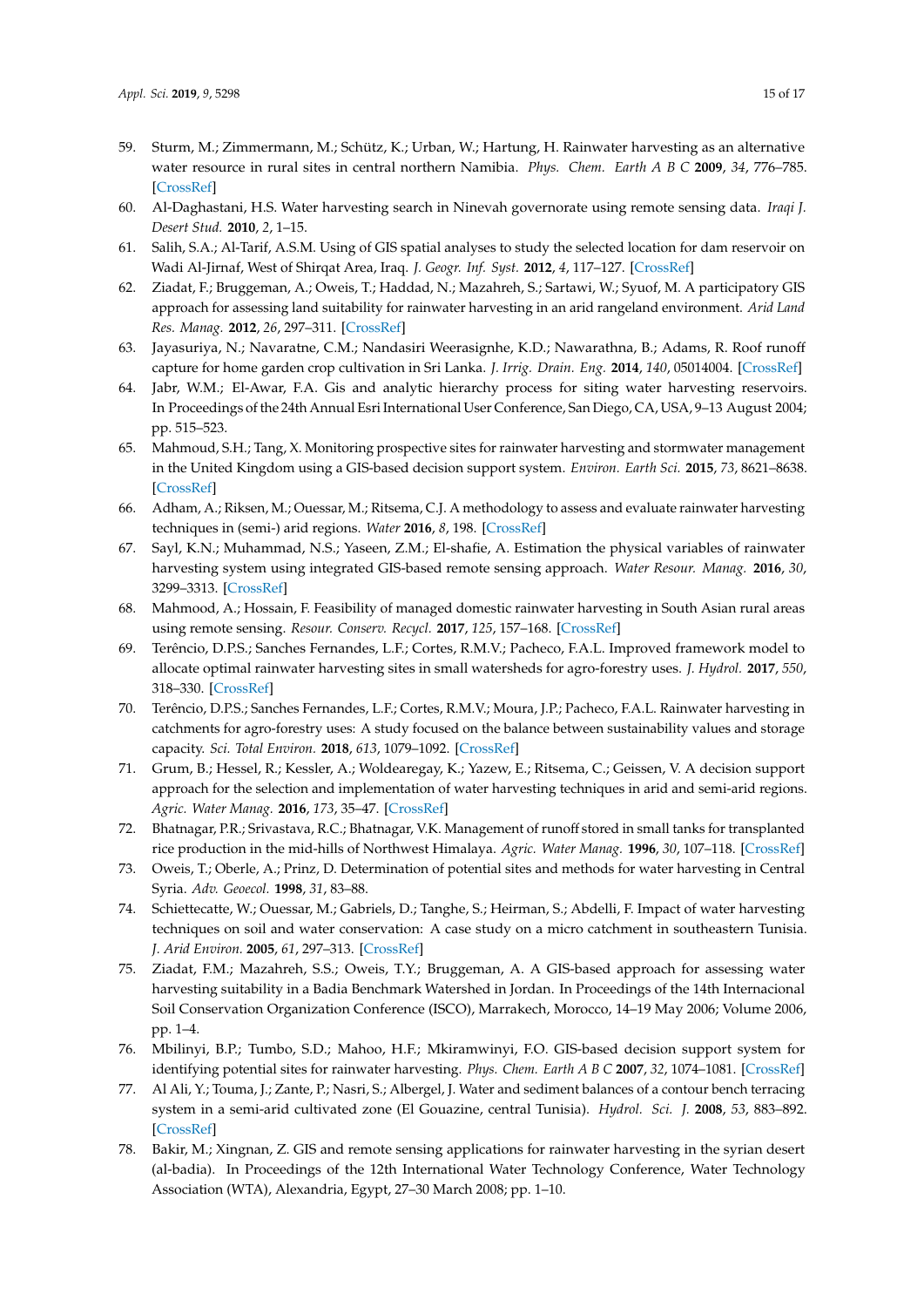- <span id="page-14-0"></span>59. Sturm, M.; Zimmermann, M.; Schütz, K.; Urban, W.; Hartung, H. Rainwater harvesting as an alternative water resource in rural sites in central northern Namibia. *Phys. Chem. Earth A B C* **2009**, *34*, 776–785. [\[CrossRef\]](http://dx.doi.org/10.1016/j.pce.2009.07.004)
- <span id="page-14-1"></span>60. Al-Daghastani, H.S. Water harvesting search in Ninevah governorate using remote sensing data. *Iraqi J. Desert Stud.* **2010**, *2*, 1–15.
- <span id="page-14-2"></span>61. Salih, S.A.; Al-Tarif, A.S.M. Using of GIS spatial analyses to study the selected location for dam reservoir on Wadi Al-Jirnaf, West of Shirqat Area, Iraq. *J. Geogr. Inf. Syst.* **2012**, *4*, 117–127. [\[CrossRef\]](http://dx.doi.org/10.4236/jgis.2012.42016)
- <span id="page-14-3"></span>62. Ziadat, F.; Bruggeman, A.; Oweis, T.; Haddad, N.; Mazahreh, S.; Sartawi, W.; Syuof, M. A participatory GIS approach for assessing land suitability for rainwater harvesting in an arid rangeland environment. *Arid Land Res. Manag.* **2012**, *26*, 297–311. [\[CrossRef\]](http://dx.doi.org/10.1080/15324982.2012.709214)
- <span id="page-14-4"></span>63. Jayasuriya, N.; Navaratne, C.M.; Nandasiri Weerasignhe, K.D.; Nawarathna, B.; Adams, R. Roof runoff capture for home garden crop cultivation in Sri Lanka. *J. Irrig. Drain. Eng.* **2014**, *140*, 05014004. [\[CrossRef\]](http://dx.doi.org/10.1061/(ASCE)IR.1943-4774.0000711)
- <span id="page-14-5"></span>64. Jabr, W.M.; El-Awar, F.A. Gis and analytic hierarchy process for siting water harvesting reservoirs. In Proceedings of the 24th Annual Esri International User Conference, San Diego, CA, USA, 9–13 August 2004; pp. 515–523.
- <span id="page-14-6"></span>65. Mahmoud, S.H.; Tang, X. Monitoring prospective sites for rainwater harvesting and stormwater management in the United Kingdom using a GIS-based decision support system. *Environ. Earth Sci.* **2015**, *73*, 8621–8638. [\[CrossRef\]](http://dx.doi.org/10.1007/s12665-015-4026-2)
- <span id="page-14-7"></span>66. Adham, A.; Riksen, M.; Ouessar, M.; Ritsema, C.J. A methodology to assess and evaluate rainwater harvesting techniques in (semi-) arid regions. *Water* **2016**, *8*, 198. [\[CrossRef\]](http://dx.doi.org/10.3390/w8050198)
- <span id="page-14-8"></span>67. Sayl, K.N.; Muhammad, N.S.; Yaseen, Z.M.; El-shafie, A. Estimation the physical variables of rainwater harvesting system using integrated GIS-based remote sensing approach. *Water Resour. Manag.* **2016**, *30*, 3299–3313. [\[CrossRef\]](http://dx.doi.org/10.1007/s11269-016-1350-6)
- <span id="page-14-9"></span>68. Mahmood, A.; Hossain, F. Feasibility of managed domestic rainwater harvesting in South Asian rural areas using remote sensing. *Resour. Conserv. Recycl.* **2017**, *125*, 157–168. [\[CrossRef\]](http://dx.doi.org/10.1016/j.resconrec.2017.06.013)
- <span id="page-14-10"></span>69. Terêncio, D.P.S.; Sanches Fernandes, L.F.; Cortes, R.M.V.; Pacheco, F.A.L. Improved framework model to allocate optimal rainwater harvesting sites in small watersheds for agro-forestry uses. *J. Hydrol.* **2017**, *550*, 318–330. [\[CrossRef\]](http://dx.doi.org/10.1016/j.jhydrol.2017.05.003)
- <span id="page-14-11"></span>70. Terêncio, D.P.S.; Sanches Fernandes, L.F.; Cortes, R.M.V.; Moura, J.P.; Pacheco, F.A.L. Rainwater harvesting in catchments for agro-forestry uses: A study focused on the balance between sustainability values and storage capacity. *Sci. Total Environ.* **2018**, *613*, 1079–1092. [\[CrossRef\]](http://dx.doi.org/10.1016/j.scitotenv.2017.09.198)
- <span id="page-14-12"></span>71. Grum, B.; Hessel, R.; Kessler, A.; Woldearegay, K.; Yazew, E.; Ritsema, C.; Geissen, V. A decision support approach for the selection and implementation of water harvesting techniques in arid and semi-arid regions. *Agric. Water Manag.* **2016**, *173*, 35–47. [\[CrossRef\]](http://dx.doi.org/10.1016/j.agwat.2016.04.018)
- <span id="page-14-13"></span>72. Bhatnagar, P.R.; Srivastava, R.C.; Bhatnagar, V.K. Management of runoff stored in small tanks for transplanted rice production in the mid-hills of Northwest Himalaya. *Agric. Water Manag.* **1996**, *30*, 107–118. [\[CrossRef\]](http://dx.doi.org/10.1016/0378-3774(95)01204-4)
- <span id="page-14-14"></span>73. Oweis, T.; Oberle, A.; Prinz, D. Determination of potential sites and methods for water harvesting in Central Syria. *Adv. Geoecol.* **1998**, *31*, 83–88.
- <span id="page-14-15"></span>74. Schiettecatte, W.; Ouessar, M.; Gabriels, D.; Tanghe, S.; Heirman, S.; Abdelli, F. Impact of water harvesting techniques on soil and water conservation: A case study on a micro catchment in southeastern Tunisia. *J. Arid Environ.* **2005**, *61*, 297–313. [\[CrossRef\]](http://dx.doi.org/10.1016/j.jaridenv.2004.09.022)
- <span id="page-14-16"></span>75. Ziadat, F.M.; Mazahreh, S.S.; Oweis, T.Y.; Bruggeman, A. A GIS-based approach for assessing water harvesting suitability in a Badia Benchmark Watershed in Jordan. In Proceedings of the 14th Internacional Soil Conservation Organization Conference (ISCO), Marrakech, Morocco, 14–19 May 2006; Volume 2006, pp. 1–4.
- <span id="page-14-17"></span>76. Mbilinyi, B.P.; Tumbo, S.D.; Mahoo, H.F.; Mkiramwinyi, F.O. GIS-based decision support system for identifying potential sites for rainwater harvesting. *Phys. Chem. Earth A B C* **2007**, *32*, 1074–1081. [\[CrossRef\]](http://dx.doi.org/10.1016/j.pce.2007.07.014)
- <span id="page-14-18"></span>77. Al Ali, Y.; Touma, J.; Zante, P.; Nasri, S.; Albergel, J. Water and sediment balances of a contour bench terracing system in a semi-arid cultivated zone (El Gouazine, central Tunisia). *Hydrol. Sci. J.* **2008**, *53*, 883–892. [\[CrossRef\]](http://dx.doi.org/10.1623/hysj.53.4.883)
- <span id="page-14-19"></span>78. Bakir, M.; Xingnan, Z. GIS and remote sensing applications for rainwater harvesting in the syrian desert (al-badia). In Proceedings of the 12th International Water Technology Conference, Water Technology Association (WTA), Alexandria, Egypt, 27–30 March 2008; pp. 1–10.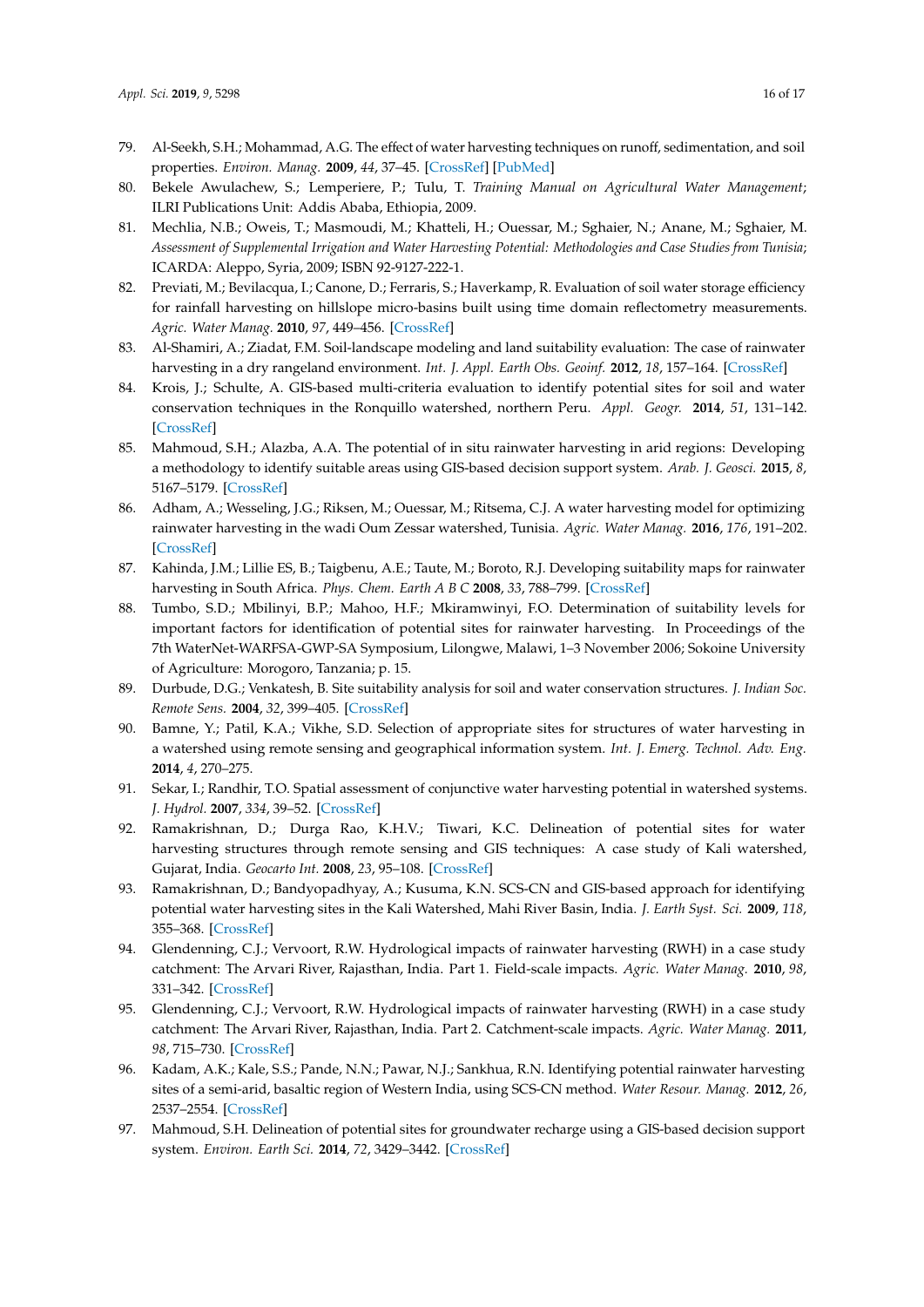- <span id="page-15-0"></span>79. Al-Seekh, S.H.; Mohammad, A.G. The effect of water harvesting techniques on runoff, sedimentation, and soil properties. *Environ. Manag.* **2009**, *44*, 37–45. [\[CrossRef\]](http://dx.doi.org/10.1007/s00267-009-9310-z) [\[PubMed\]](http://www.ncbi.nlm.nih.gov/pubmed/19458998)
- <span id="page-15-1"></span>80. Bekele Awulachew, S.; Lemperiere, P.; Tulu, T. *Training Manual on Agricultural Water Management*; ILRI Publications Unit: Addis Ababa, Ethiopia, 2009.
- <span id="page-15-2"></span>81. Mechlia, N.B.; Oweis, T.; Masmoudi, M.; Khatteli, H.; Ouessar, M.; Sghaier, N.; Anane, M.; Sghaier, M. *Assessment of Supplemental Irrigation and Water Harvesting Potential: Methodologies and Case Studies from Tunisia*; ICARDA: Aleppo, Syria, 2009; ISBN 92-9127-222-1.
- <span id="page-15-3"></span>82. Previati, M.; Bevilacqua, I.; Canone, D.; Ferraris, S.; Haverkamp, R. Evaluation of soil water storage efficiency for rainfall harvesting on hillslope micro-basins built using time domain reflectometry measurements. *Agric. Water Manag.* **2010**, *97*, 449–456. [\[CrossRef\]](http://dx.doi.org/10.1016/j.agwat.2009.11.004)
- <span id="page-15-4"></span>83. Al-Shamiri, A.; Ziadat, F.M. Soil-landscape modeling and land suitability evaluation: The case of rainwater harvesting in a dry rangeland environment. *Int. J. Appl. Earth Obs. Geoinf.* **2012**, *18*, 157–164. [\[CrossRef\]](http://dx.doi.org/10.1016/j.jag.2012.01.005)
- <span id="page-15-5"></span>84. Krois, J.; Schulte, A. GIS-based multi-criteria evaluation to identify potential sites for soil and water conservation techniques in the Ronquillo watershed, northern Peru. *Appl. Geogr.* **2014**, *51*, 131–142. [\[CrossRef\]](http://dx.doi.org/10.1016/j.apgeog.2014.04.006)
- <span id="page-15-6"></span>85. Mahmoud, S.H.; Alazba, A.A. The potential of in situ rainwater harvesting in arid regions: Developing a methodology to identify suitable areas using GIS-based decision support system. *Arab. J. Geosci.* **2015**, *8*, 5167–5179. [\[CrossRef\]](http://dx.doi.org/10.1007/s12517-014-1535-3)
- <span id="page-15-7"></span>86. Adham, A.; Wesseling, J.G.; Riksen, M.; Ouessar, M.; Ritsema, C.J. A water harvesting model for optimizing rainwater harvesting in the wadi Oum Zessar watershed, Tunisia. *Agric. Water Manag.* **2016**, *176*, 191–202. [\[CrossRef\]](http://dx.doi.org/10.1016/j.agwat.2016.06.003)
- <span id="page-15-8"></span>87. Kahinda, J.M.; Lillie ES, B.; Taigbenu, A.E.; Taute, M.; Boroto, R.J. Developing suitability maps for rainwater harvesting in South Africa. *Phys. Chem. Earth A B C* **2008**, *33*, 788–799. [\[CrossRef\]](http://dx.doi.org/10.1016/j.pce.2008.06.047)
- <span id="page-15-9"></span>88. Tumbo, S.D.; Mbilinyi, B.P.; Mahoo, H.F.; Mkiramwinyi, F.O. Determination of suitability levels for important factors for identification of potential sites for rainwater harvesting. In Proceedings of the 7th WaterNet-WARFSA-GWP-SA Symposium, Lilongwe, Malawi, 1–3 November 2006; Sokoine University of Agriculture: Morogoro, Tanzania; p. 15.
- <span id="page-15-10"></span>89. Durbude, D.G.; Venkatesh, B. Site suitability analysis for soil and water conservation structures. *J. Indian Soc. Remote Sens.* **2004**, *32*, 399–405. [\[CrossRef\]](http://dx.doi.org/10.1007/BF03030865)
- <span id="page-15-11"></span>90. Bamne, Y.; Patil, K.A.; Vikhe, S.D. Selection of appropriate sites for structures of water harvesting in a watershed using remote sensing and geographical information system. *Int. J. Emerg. Technol. Adv. Eng.* **2014**, *4*, 270–275.
- <span id="page-15-12"></span>91. Sekar, I.; Randhir, T.O. Spatial assessment of conjunctive water harvesting potential in watershed systems. *J. Hydrol.* **2007**, *334*, 39–52. [\[CrossRef\]](http://dx.doi.org/10.1016/j.jhydrol.2006.09.024)
- <span id="page-15-13"></span>92. Ramakrishnan, D.; Durga Rao, K.H.V.; Tiwari, K.C. Delineation of potential sites for water harvesting structures through remote sensing and GIS techniques: A case study of Kali watershed, Gujarat, India. *Geocarto Int.* **2008**, *23*, 95–108. [\[CrossRef\]](http://dx.doi.org/10.1080/10106040701417246)
- <span id="page-15-14"></span>93. Ramakrishnan, D.; Bandyopadhyay, A.; Kusuma, K.N. SCS-CN and GIS-based approach for identifying potential water harvesting sites in the Kali Watershed, Mahi River Basin, India. *J. Earth Syst. Sci.* **2009**, *118*, 355–368. [\[CrossRef\]](http://dx.doi.org/10.1007/s12040-009-0034-5)
- <span id="page-15-15"></span>94. Glendenning, C.J.; Vervoort, R.W. Hydrological impacts of rainwater harvesting (RWH) in a case study catchment: The Arvari River, Rajasthan, India. Part 1. Field-scale impacts. *Agric. Water Manag.* **2010**, *98*, 331–342. [\[CrossRef\]](http://dx.doi.org/10.1016/j.agwat.2010.09.003)
- <span id="page-15-16"></span>95. Glendenning, C.J.; Vervoort, R.W. Hydrological impacts of rainwater harvesting (RWH) in a case study catchment: The Arvari River, Rajasthan, India. Part 2. Catchment-scale impacts. *Agric. Water Manag.* **2011**, *98*, 715–730. [\[CrossRef\]](http://dx.doi.org/10.1016/j.agwat.2010.11.010)
- <span id="page-15-17"></span>96. Kadam, A.K.; Kale, S.S.; Pande, N.N.; Pawar, N.J.; Sankhua, R.N. Identifying potential rainwater harvesting sites of a semi-arid, basaltic region of Western India, using SCS-CN method. *Water Resour. Manag.* **2012**, *26*, 2537–2554. [\[CrossRef\]](http://dx.doi.org/10.1007/s11269-012-0031-3)
- <span id="page-15-18"></span>97. Mahmoud, S.H. Delineation of potential sites for groundwater recharge using a GIS-based decision support system. *Environ. Earth Sci.* **2014**, *72*, 3429–3442. [\[CrossRef\]](http://dx.doi.org/10.1007/s12665-014-3249-y)